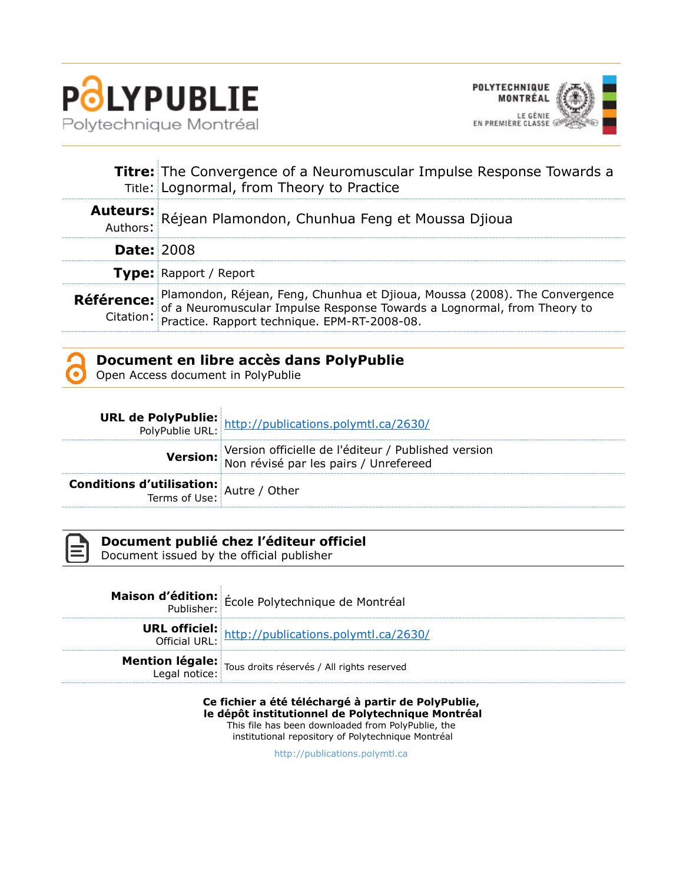



|                   | <b>Titre:</b> The Convergence of a Neuromuscular Impulse Response Towards a<br>Title: Lognormal, from Theory to Practice                                                                                                             |
|-------------------|--------------------------------------------------------------------------------------------------------------------------------------------------------------------------------------------------------------------------------------|
|                   | Auteurs: Réjean Plamondon, Chunhua Feng et Moussa Djioua                                                                                                                                                                             |
| <b>Date: 2008</b> |                                                                                                                                                                                                                                      |
|                   | Type: Rapport / Report                                                                                                                                                                                                               |
|                   | Référence: Plamondon, Réjean, Feng, Chunhua et Djioua, Moussa (2008). The Convergence<br>Citation: of a Neuromuscular Impulse Response Towards a Lognormal, from Theory to<br>Citation: Practice. Rapport technique. EPM-RT-2008-08. |

### **Document en libre accès dans PolyPublie**

Open Access document in PolyPublie

|                                                | <b>URL de PolyPublie:</b><br>PolyPublie URL: http://publications.polymtl.ca/2630/            |
|------------------------------------------------|----------------------------------------------------------------------------------------------|
|                                                | Version officielle de l'éditeur / Published version<br>Non révisé par les pairs / Unrefereed |
| <b>Conditions d'utilisation:</b> Autre / Other |                                                                                              |



#### **Document publié chez l'éditeur officiel**

Document issued by the official publisher

| <b>Maison d'édition:</b> École Polytechnique de Montréal                           |
|------------------------------------------------------------------------------------|
| <b>URL officiel:</b><br>Official URL: http://publications.polymtl.ca/2630/         |
| <b>Mention légale:</b> Tous droits réservés / All rights reserved<br>Legal notice: |

**Ce fichier a été téléchargé à partir de PolyPublie,** 

**le dépôt institutionnel de Polytechnique Montréal** This file has been downloaded from PolyPublie, the

institutional repository of Polytechnique Montréal

[http://publications.polymtl.ca](http://publications.polymtl.ca/)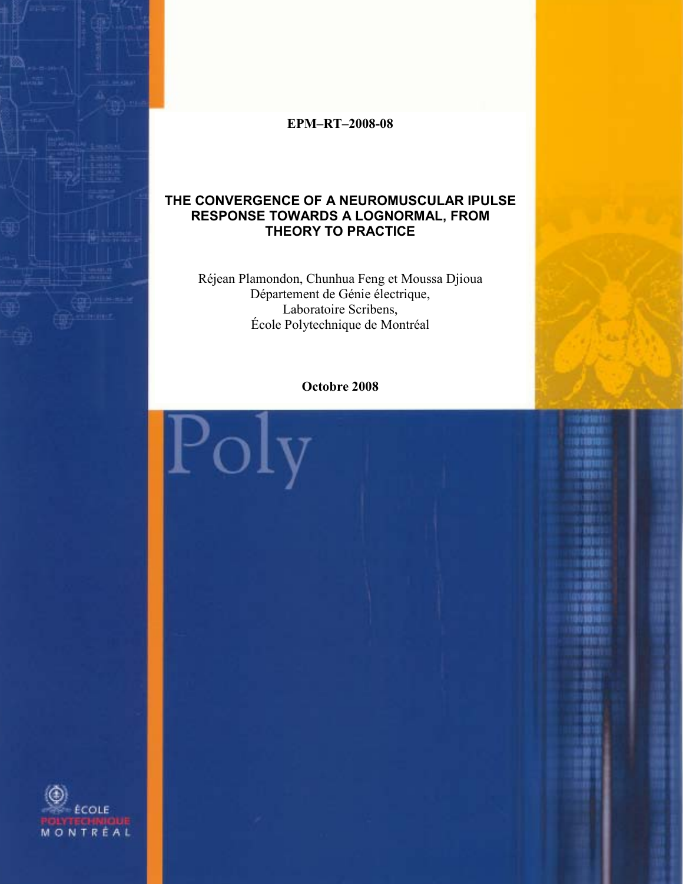

**EPM–RT–2008-08**

#### **THE CONVERGENCE OF A NEUROMUSCULAR IPULSE RESPONSE TOWARDS A LOGNORMAL, FROM THEORY TO PRACTICE**

Réjean Plamondon, Chunhua Feng et Moussa Djioua Département de Génie électrique, Laboratoire Scribens, École Polytechnique de Montréal

**Octobre 2008**

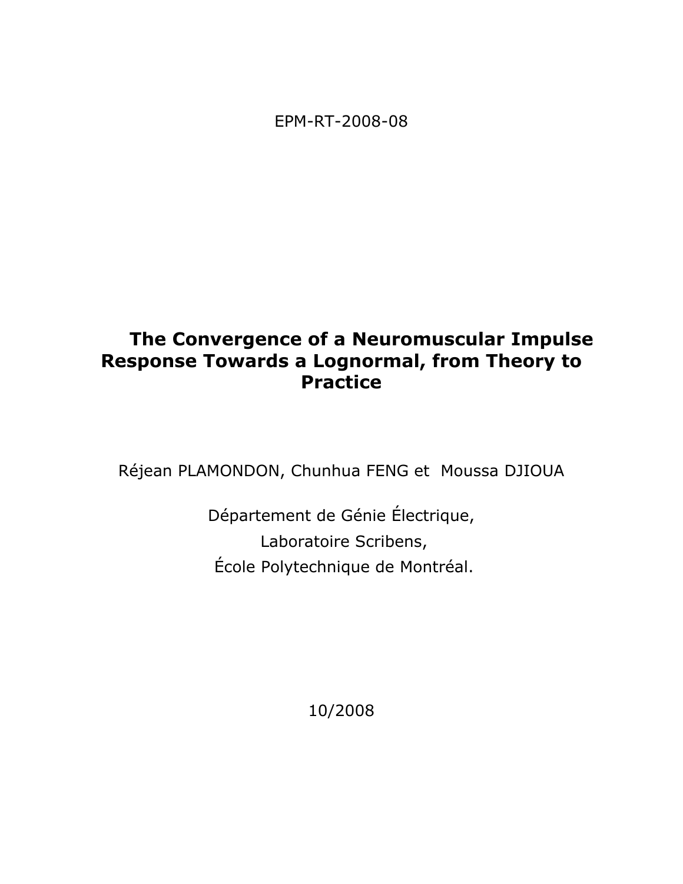EPM-RT-2008-08

# **The Convergence of a Neuromuscular Impulse Response Towards a Lognormal, from Theory to Practice**

Réjean PLAMONDON, Chunhua FENG et Moussa DJIOUA

Département de Génie Électrique, Laboratoire Scribens, École Polytechnique de Montréal.

10/2008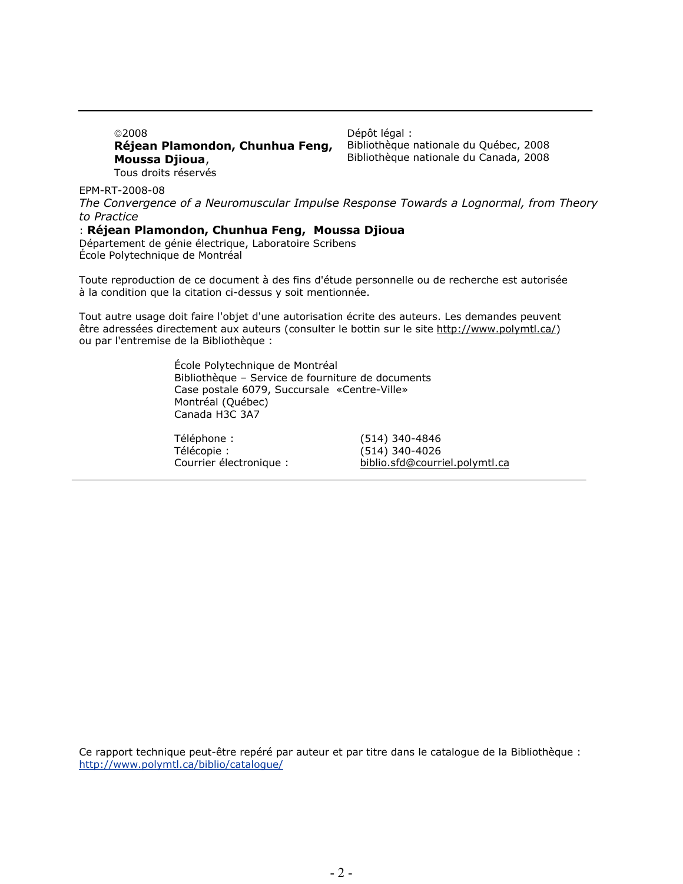©2008 **Réjean Plamondon, Chunhua Feng, Moussa Djioua**, Tous droits réservés

Dépôt légal : Bibliothèque nationale du Québec, 2008 Bibliothèque nationale du Canada, 2008

EPM-RT-2008-08

*The Convergence of a Neuromuscular Impulse Response Towards a Lognormal, from Theory to Practice* 

#### : **Réjean Plamondon, Chunhua Feng, Moussa Djioua**

Département de génie électrique, Laboratoire Scribens École Polytechnique de Montréal

Toute reproduction de ce document à des fins d'étude personnelle ou de recherche est autorisée à la condition que la citation ci-dessus y soit mentionnée.

Tout autre usage doit faire l'objet d'une autorisation écrite des auteurs. Les demandes peuvent être adressées directement aux auteurs (consulter le bottin sur le site http://www.polymtl.ca/) ou par l'entremise de la Bibliothèque :

> École Polytechnique de Montréal Bibliothèque – Service de fourniture de documents Case postale 6079, Succursale «Centre-Ville» Montréal (Québec) Canada H3C 3A7

Téléphone : (514) 340-4846 Télécopie : (514) 340-4026 Courrier électronique : biblio.sfd@courriel.polymtl.ca

Ce rapport technique peut-être repéré par auteur et par titre dans le catalogue de la Bibliothèque : <http://www.polymtl.ca/biblio/catalogue/>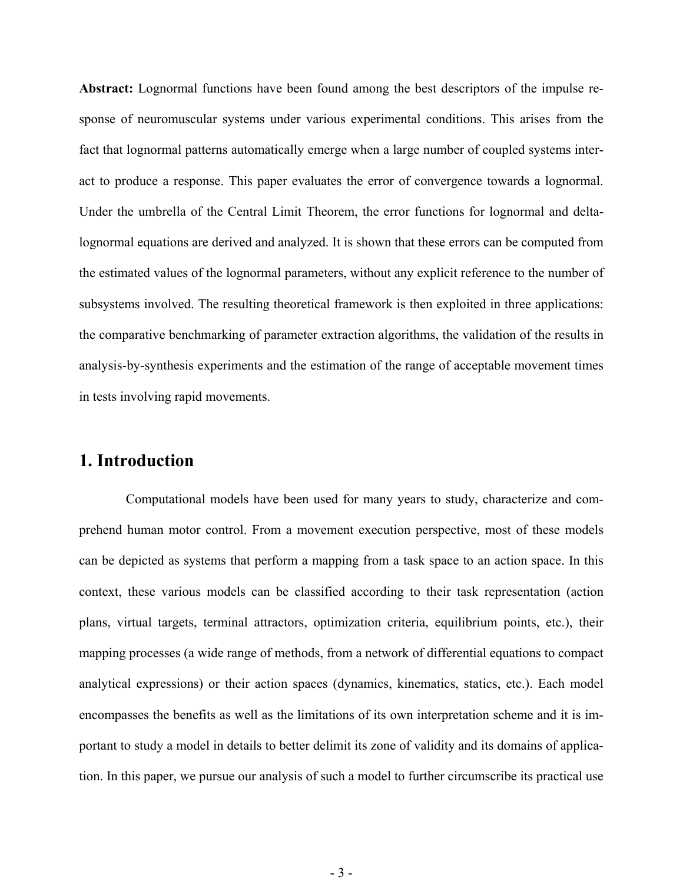**Abstract:** Lognormal functions have been found among the best descriptors of the impulse response of neuromuscular systems under various experimental conditions. This arises from the fact that lognormal patterns automatically emerge when a large number of coupled systems interact to produce a response. This paper evaluates the error of convergence towards a lognormal. Under the umbrella of the Central Limit Theorem, the error functions for lognormal and deltalognormal equations are derived and analyzed. It is shown that these errors can be computed from the estimated values of the lognormal parameters, without any explicit reference to the number of subsystems involved. The resulting theoretical framework is then exploited in three applications: the comparative benchmarking of parameter extraction algorithms, the validation of the results in analysis-by-synthesis experiments and the estimation of the range of acceptable movement times in tests involving rapid movements.

#### **1. Introduction**

 Computational models have been used for many years to study, characterize and comprehend human motor control. From a movement execution perspective, most of these models can be depicted as systems that perform a mapping from a task space to an action space. In this context, these various models can be classified according to their task representation (action plans, virtual targets, terminal attractors, optimization criteria, equilibrium points, etc.), their mapping processes (a wide range of methods, from a network of differential equations to compact analytical expressions) or their action spaces (dynamics, kinematics, statics, etc.). Each model encompasses the benefits as well as the limitations of its own interpretation scheme and it is important to study a model in details to better delimit its zone of validity and its domains of application. In this paper, we pursue our analysis of such a model to further circumscribe its practical use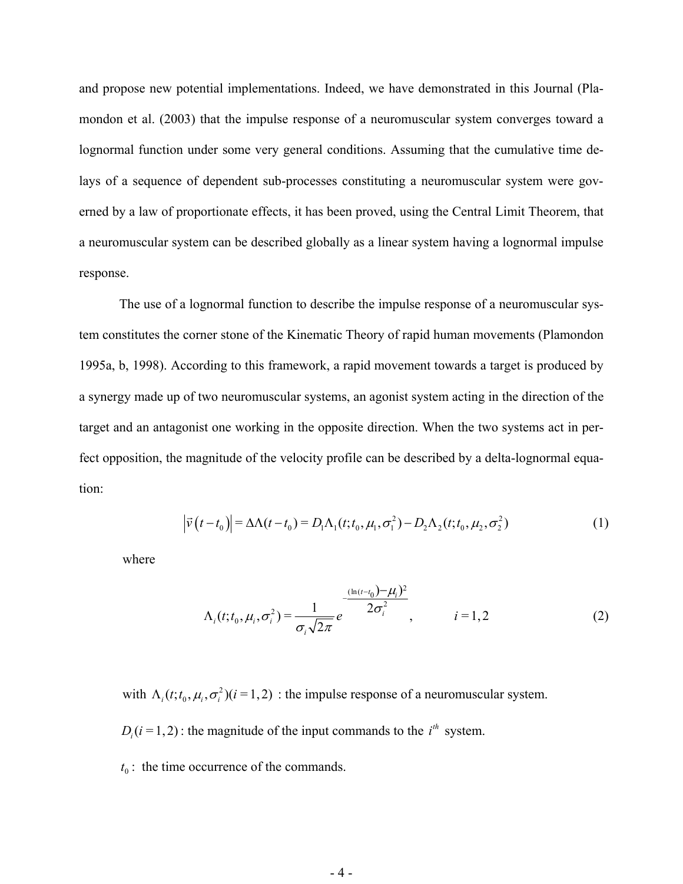and propose new potential implementations. Indeed, we have demonstrated in this Journal (Plamondon et al. (2003) that the impulse response of a neuromuscular system converges toward a lognormal function under some very general conditions. Assuming that the cumulative time delays of a sequence of dependent sub-processes constituting a neuromuscular system were governed by a law of proportionate effects, it has been proved, using the Central Limit Theorem, that a neuromuscular system can be described globally as a linear system having a lognormal impulse response.

The use of a lognormal function to describe the impulse response of a neuromuscular system constitutes the corner stone of the Kinematic Theory of rapid human movements (Plamondon 1995a, b, 1998). According to this framework, a rapid movement towards a target is produced by a synergy made up of two neuromuscular systems, an agonist system acting in the direction of the target and an antagonist one working in the opposite direction. When the two systems act in perfect opposition, the magnitude of the velocity profile can be described by a delta-lognormal equation:

$$
\left|\vec{v}(t-t_0)\right| = \Delta\Lambda(t-t_0) = D_1\Lambda_1(t;t_0,\mu_1,\sigma_1^2) - D_2\Lambda_2(t;t_0,\mu_2,\sigma_2^2)
$$
\n(1)

where

$$
\Lambda_i(t; t_0, \mu_i, \sigma_i^2) = \frac{1}{\sigma_i \sqrt{2\pi}} e^{-\frac{(\ln(t - t_0) - \mu_i)^2}{2\sigma_i^2}}, \qquad i = 1, 2 \tag{2}
$$

with  $\Lambda_i(t; t_0, \mu_i, \sigma_i^2)(i = 1, 2)$  : the impulse response of a neuromuscular system.  $D_i(i = 1, 2)$ : the magnitude of the input commands to the  $i<sup>th</sup>$  system.

 $t_0$ : the time occurrence of the commands.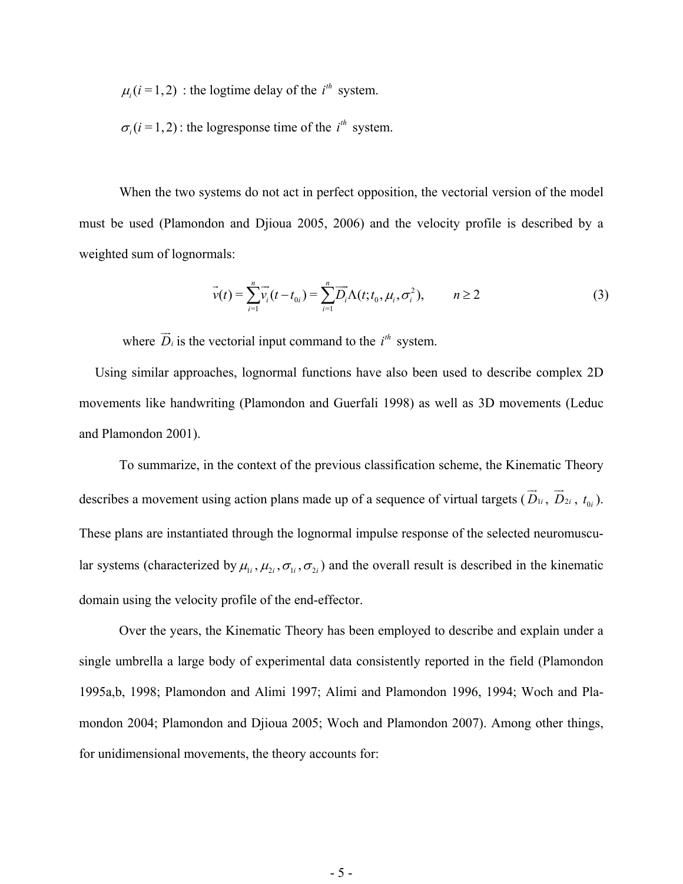$\mu_i$  (*i* = 1, 2) : the logtime delay of the *i*<sup>th</sup> system.

 $\sigma_i$  (*i* = 1, 2) : the logresponse time of the *i*<sup>th</sup> system.

When the two systems do not act in perfect opposition, the vectorial version of the model must be used (Plamondon and Djioua 2005, 2006) and the velocity profile is described by a weighted sum of lognormals:

$$
\vec{v}(t) = \sum_{i=1}^{n} \vec{v}_i(t - t_{0i}) = \sum_{i=1}^{n} \vec{D}_i \Lambda(t; t_0, \mu_i, \sigma_i^2), \qquad n \ge 2
$$
 (3)

where  $\overrightarrow{D}_i$  is the vectorial input command to the  $i^h$  system.

Using similar approaches, lognormal functions have also been used to describe complex 2D movements like handwriting (Plamondon and Guerfali 1998) as well as 3D movements (Leduc and Plamondon 2001).

To summarize, in the context of the previous classification scheme, the Kinematic Theory describes a movement using action plans made up of a sequence of virtual targets  $(\vec{D}_{1i}, \vec{D}_{2i}, t_{0i})$ . These plans are instantiated through the lognormal impulse response of the selected neuromuscular systems (characterized by  $\mu_{1i}$ ,  $\mu_{2i}$ ,  $\sigma_{1i}$ ,  $\sigma_{2i}$ ) and the overall result is described in the kinematic domain using the velocity profile of the end-effector.

Over the years, the Kinematic Theory has been employed to describe and explain under a single umbrella a large body of experimental data consistently reported in the field (Plamondon 1995a,b, 1998; Plamondon and Alimi 1997; Alimi and Plamondon 1996, 1994; Woch and Plamondon 2004; Plamondon and Djioua 2005; Woch and Plamondon 2007). Among other things, for unidimensional movements, the theory accounts for: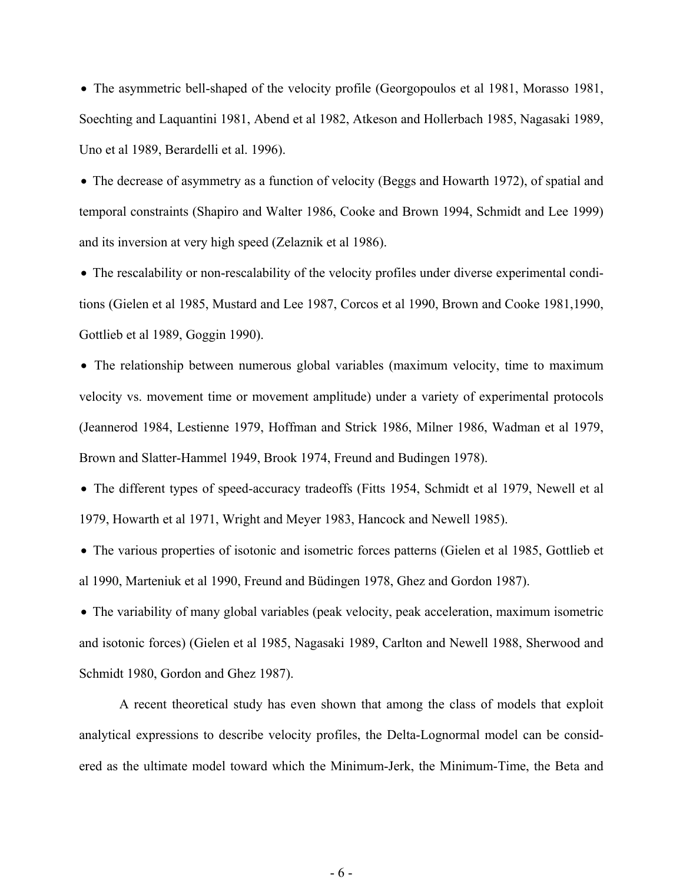• The asymmetric bell-shaped of the velocity profile (Georgopoulos et al 1981, Morasso 1981, Soechting and Laquantini 1981, Abend et al 1982, Atkeson and Hollerbach 1985, Nagasaki 1989, Uno et al 1989, Berardelli et al. 1996).

• The decrease of asymmetry as a function of velocity (Beggs and Howarth 1972), of spatial and temporal constraints (Shapiro and Walter 1986, Cooke and Brown 1994, Schmidt and Lee 1999) and its inversion at very high speed (Zelaznik et al 1986).

• The rescalability or non-rescalability of the velocity profiles under diverse experimental conditions (Gielen et al 1985, Mustard and Lee 1987, Corcos et al 1990, Brown and Cooke 1981,1990, Gottlieb et al 1989, Goggin 1990).

• The relationship between numerous global variables (maximum velocity, time to maximum velocity vs. movement time or movement amplitude) under a variety of experimental protocols (Jeannerod 1984, Lestienne 1979, Hoffman and Strick 1986, Milner 1986, Wadman et al 1979, Brown and Slatter-Hammel 1949, Brook 1974, Freund and Budingen 1978).

• The different types of speed-accuracy tradeoffs (Fitts 1954, Schmidt et al 1979, Newell et al 1979, Howarth et al 1971, Wright and Meyer 1983, Hancock and Newell 1985).

• The various properties of isotonic and isometric forces patterns (Gielen et al 1985, Gottlieb et al 1990, Marteniuk et al 1990, Freund and Büdingen 1978, Ghez and Gordon 1987).

• The variability of many global variables (peak velocity, peak acceleration, maximum isometric and isotonic forces) (Gielen et al 1985, Nagasaki 1989, Carlton and Newell 1988, Sherwood and Schmidt 1980, Gordon and Ghez 1987).

A recent theoretical study has even shown that among the class of models that exploit analytical expressions to describe velocity profiles, the Delta-Lognormal model can be considered as the ultimate model toward which the Minimum-Jerk, the Minimum-Time, the Beta and

- 6 -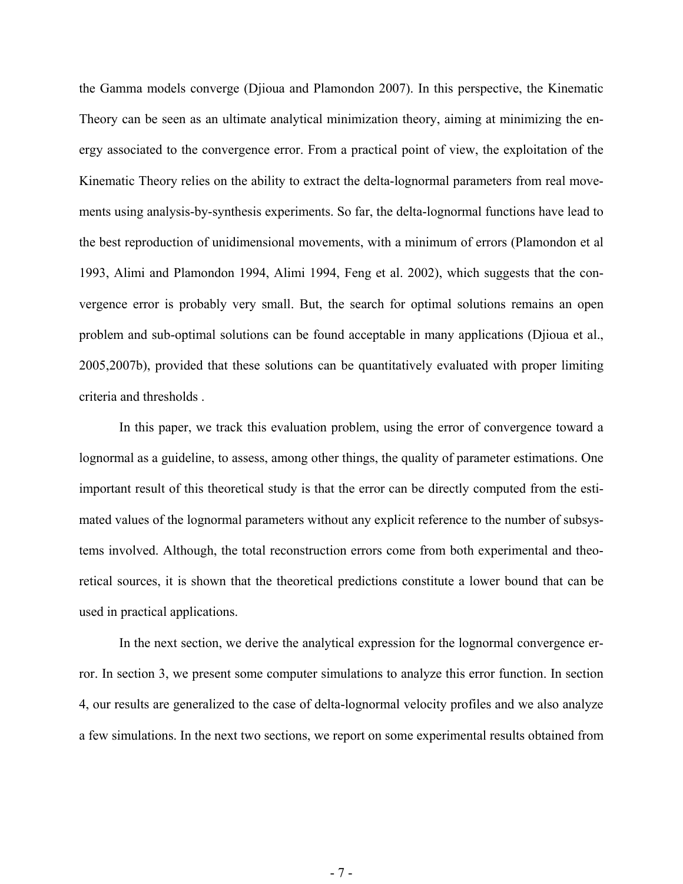the Gamma models converge (Djioua and Plamondon 2007). In this perspective, the Kinematic Theory can be seen as an ultimate analytical minimization theory, aiming at minimizing the energy associated to the convergence error. From a practical point of view, the exploitation of the Kinematic Theory relies on the ability to extract the delta-lognormal parameters from real movements using analysis-by-synthesis experiments. So far, the delta-lognormal functions have lead to the best reproduction of unidimensional movements, with a minimum of errors (Plamondon et al 1993, Alimi and Plamondon 1994, Alimi 1994, Feng et al. 2002), which suggests that the convergence error is probably very small. But, the search for optimal solutions remains an open problem and sub-optimal solutions can be found acceptable in many applications (Djioua et al., 2005,2007b), provided that these solutions can be quantitatively evaluated with proper limiting criteria and thresholds .

In this paper, we track this evaluation problem, using the error of convergence toward a lognormal as a guideline, to assess, among other things, the quality of parameter estimations. One important result of this theoretical study is that the error can be directly computed from the estimated values of the lognormal parameters without any explicit reference to the number of subsystems involved. Although, the total reconstruction errors come from both experimental and theoretical sources, it is shown that the theoretical predictions constitute a lower bound that can be used in practical applications.

In the next section, we derive the analytical expression for the lognormal convergence error. In section 3, we present some computer simulations to analyze this error function. In section 4, our results are generalized to the case of delta-lognormal velocity profiles and we also analyze a few simulations. In the next two sections, we report on some experimental results obtained from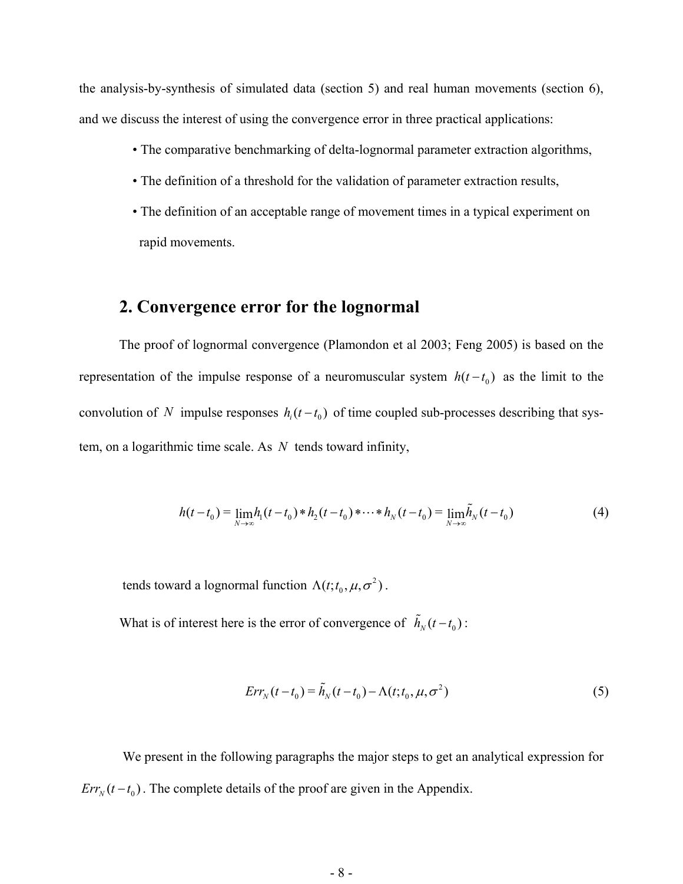the analysis-by-synthesis of simulated data (section 5) and real human movements (section 6), and we discuss the interest of using the convergence error in three practical applications:

- The comparative benchmarking of delta-lognormal parameter extraction algorithms,
- The definition of a threshold for the validation of parameter extraction results,
- The definition of an acceptable range of movement times in a typical experiment on rapid movements.

### **2. Convergence error for the lognormal**

The proof of lognormal convergence (Plamondon et al 2003; Feng 2005) is based on the representation of the impulse response of a neuromuscular system  $h(t - t_0)$  as the limit to the convolution of *N* impulse responses  $h_i(t-t_0)$  of time coupled sub-processes describing that system, on a logarithmic time scale. As *N* tends toward infinity,

$$
h(t-t_0) = \lim_{N \to \infty} h_1(t-t_0) * h_2(t-t_0) * \cdots * h_N(t-t_0) = \lim_{N \to \infty} \tilde{h}_N(t-t_0)
$$
(4)

tends toward a lognormal function  $\Lambda(t; t_0, \mu, \sigma^2)$ .

What is of interest here is the error of convergence of  $\tilde{h}_N(t - t_0)$ :

$$
Err_N(t - t_0) = \tilde{h}_N(t - t_0) - \Lambda(t; t_0, \mu, \sigma^2)
$$
\n
$$
(5)
$$

 We present in the following paragraphs the major steps to get an analytical expression for  $Err_N(t - t_0)$ . The complete details of the proof are given in the Appendix.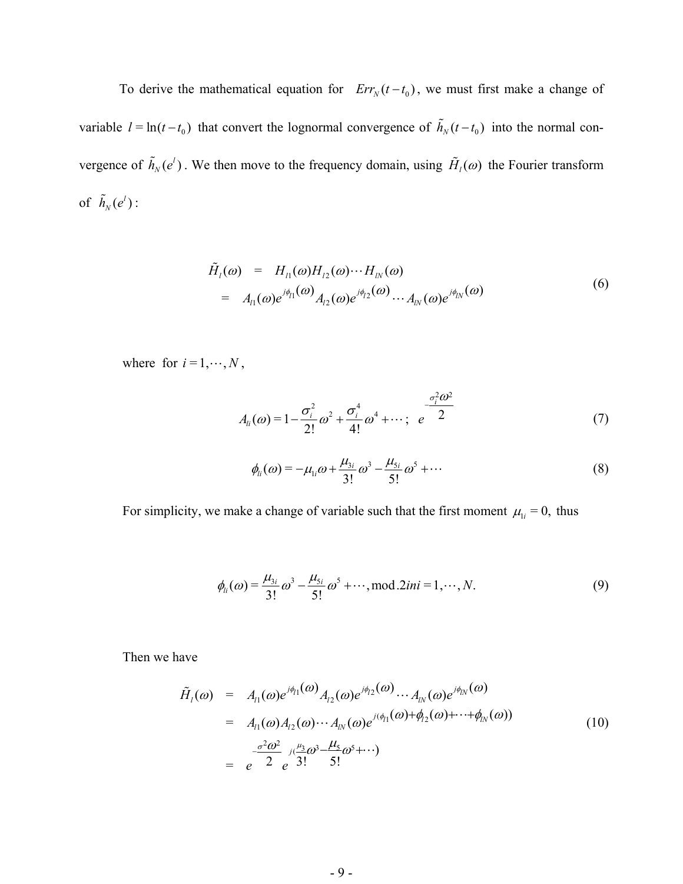To derive the mathematical equation for  $Err_N(t - t_0)$ , we must first make a change of variable  $l = \ln(t - t_0)$  that convert the lognormal convergence of  $\tilde{h}_N(t - t_0)$  into the normal convergence of  $\tilde{h}_N(e^l)$ . We then move to the frequency domain, using  $\tilde{H}_l(\omega)$  the Fourier transform of  $\tilde{h}_N(e^l)$ :

$$
\tilde{H}_{l}(\omega) = H_{l1}(\omega)H_{l2}(\omega)\cdots H_{lN}(\omega)
$$
\n
$$
= A_{l1}(\omega)e^{j\phi_{l1}(\omega)}A_{l2}(\omega)e^{j\phi_{l2}(\omega)}\cdots A_{lN}(\omega)e^{j\phi_{lN}(\omega)}
$$
\n(6)

where for  $i = 1, \dots, N$ ,

$$
A_{li}(\omega) = 1 - \frac{\sigma_i^2}{2!} \omega^2 + \frac{\sigma_i^4}{4!} \omega^4 + \cdots; \quad e^{\frac{\sigma_i^2 \omega^2}{2}}
$$
 (7)

$$
\phi_{li}(\omega) = -\mu_{li}\omega + \frac{\mu_{3i}}{3!}\omega^3 - \frac{\mu_{5i}}{5!}\omega^5 + \cdots
$$
 (8)

For simplicity, we make a change of variable such that the first moment  $\mu_{1i} = 0$ , thus

$$
\phi_{li}(\omega) = \frac{\mu_{3i}}{3!} \omega^3 - \frac{\mu_{5i}}{5!} \omega^5 + \cdots, \text{mod}.2ini = 1, \cdots, N. \tag{9}
$$

Then we have

$$
\tilde{H}_{l}(\omega) = A_{l1}(\omega)e^{j\phi_{l1}(\omega)}A_{l2}(\omega)e^{j\phi_{l2}(\omega)}\cdots A_{lN}(\omega)e^{j\phi_{lN}(\omega)} \n= A_{l1}(\omega)A_{l2}(\omega)\cdots A_{lN}(\omega)e^{j(\phi_{l1}(\omega)+\phi_{l2}(\omega)+\cdots+\phi_{lN}(\omega))} \n= e^{\frac{\sigma^{2}\omega^{2}}{2}}e^{j(\frac{\mu_{3}}{3} \omega^{3}-\frac{\mu_{5}}{5} \omega^{5}+\cdots)} \n\tag{10}
$$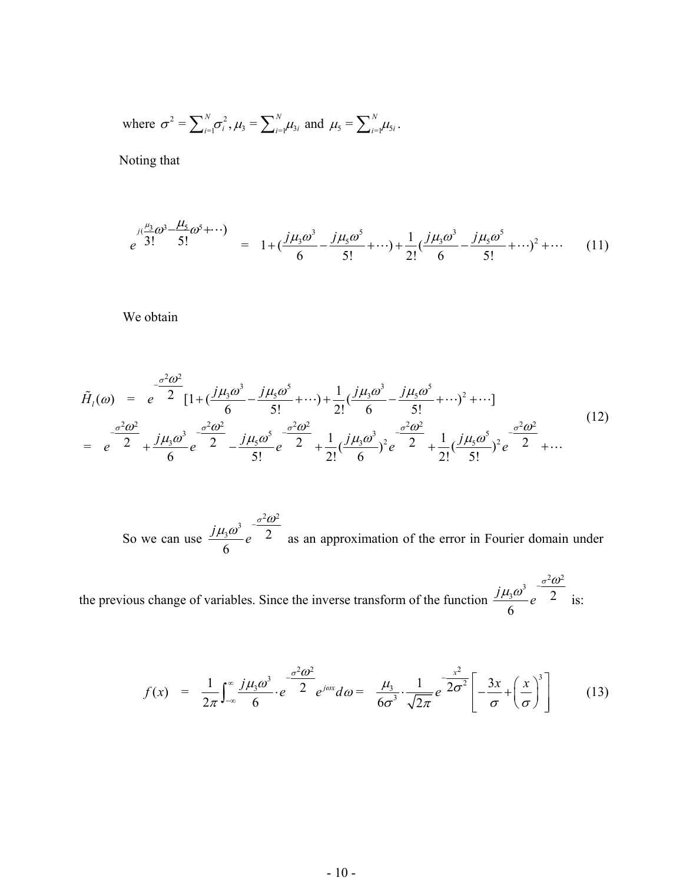where 
$$
\sigma^2 = \sum_{i=1}^N \sigma_i^2
$$
,  $\mu_3 = \sum_{i=1}^N \mu_{3i}$  and  $\mu_5 = \sum_{i=1}^N \mu_{5i}$ .

Noting that

$$
e^{j(\frac{\mu_{3}}{3!}\omega^{3}-\frac{\mu_{5}}{5!}\omega^{5}+\cdots)} = 1+(\frac{j\mu_{3}\omega^{3}}{6}-\frac{j\mu_{5}\omega^{5}}{5!}+\cdots)+\frac{1}{2!}(\frac{j\mu_{3}\omega^{3}}{6}-\frac{j\mu_{5}\omega^{5}}{5!}+\cdots)^{2}+\cdots
$$
 (11)

We obtain

$$
\tilde{H}_{l}(\omega) = e^{-\frac{\sigma^{2} \omega^{2}}{2}} [1 + (\frac{j\mu_{3}\omega^{3}}{6} - \frac{j\mu_{5}\omega^{5}}{5!} + \cdots) + \frac{1}{2!} (\frac{j\mu_{3}\omega^{3}}{6} - \frac{j\mu_{5}\omega^{5}}{5!} + \cdots)^{2} + \cdots] \n= e^{-\frac{\sigma^{2} \omega^{2}}{2}} + \frac{j\mu_{3}\omega^{3}}{6} e^{-\frac{\sigma^{2} \omega^{2}}{2}} - \frac{j\mu_{5}\omega^{5}}{5!} e^{-\frac{\sigma^{2} \omega^{2}}{2}} + \frac{1}{2!} (\frac{j\mu_{3}\omega^{3}}{6})^{2} e^{-\frac{\sigma^{2} \omega^{2}}{2}} + \frac{1}{2!} (\frac{j\mu_{5}\omega^{5}}{5!})^{2} e^{-\frac{\sigma^{2} \omega^{2}}{2}} + \cdots
$$
\n(12)

 So we can use  $2\pi^2$  $\frac{3\omega^3}{e}$   $\frac{\omega^3}{2}$ 6  $\frac{j\mu_3\omega^3}{\epsilon}e^{-\frac{\sigma^2\omega^2}{2}}$  as an approximation of the error in Fourier domain under

the previous change of variables. Since the inverse transform of the function  $2\pi^2$  $\frac{3}{2}$   $\frac{3}{2}$   $\frac{3}{2}$ 6  $\frac{j\mu_3\omega^3}{\epsilon}e^{-\frac{\sigma^2\omega^2}{2}}$  is:

$$
f(x) = \frac{1}{2\pi} \int_{-\infty}^{\infty} \frac{j\mu_3 \omega^3}{6} \cdot e^{-\frac{\sigma^2 \omega^2}{2}} e^{j\omega x} d\omega = \frac{\mu_3}{6\sigma^3} \cdot \frac{1}{\sqrt{2\pi}} e^{-\frac{x^2}{2\sigma^2}} \left[ -\frac{3x}{\sigma} + \left(\frac{x}{\sigma}\right)^3 \right] \tag{13}
$$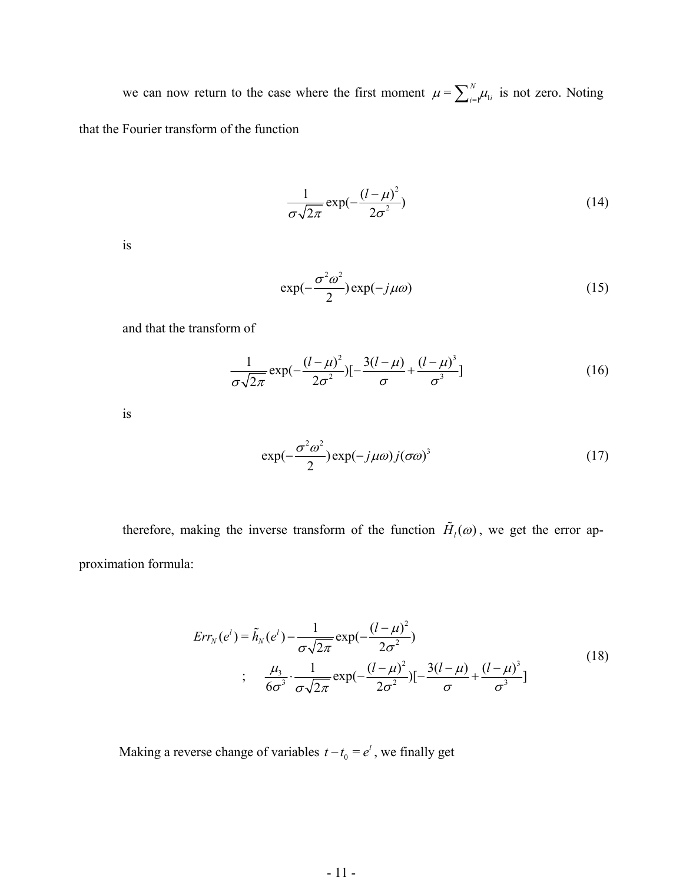we can now return to the case where the first moment  $\mu = \sum_{i=1}^{N} \mu_{1i}$  is not zero. Noting that the Fourier transform of the function

$$
\frac{1}{\sigma\sqrt{2\pi}}\exp(-\frac{(l-\mu)^2}{2\sigma^2})
$$
\n(14)

is

$$
\exp(-\frac{\sigma^2 \omega^2}{2}) \exp(-j\mu \omega) \tag{15}
$$

and that the transform of

$$
\frac{1}{\sigma\sqrt{2\pi}}\exp(-\frac{(l-\mu)^2}{2\sigma^2})[-\frac{3(l-\mu)}{\sigma}+\frac{(l-\mu)^3}{\sigma^3}]
$$
(16)

is

$$
\exp(-\frac{\sigma^2 \omega^2}{2}) \exp(-j\mu \omega) j(\sigma \omega)^3 \tag{17}
$$

therefore, making the inverse transform of the function  $\tilde{H}_{l}(\omega)$ , we get the error approximation formula:

$$
Err_{N}(e^{l}) = \tilde{h}_{N}(e^{l}) - \frac{1}{\sigma\sqrt{2\pi}} \exp(-\frac{(l-\mu)^{2}}{2\sigma^{2}})
$$
  
;
$$
\frac{\mu_{3}}{6\sigma^{3}} \cdot \frac{1}{\sigma\sqrt{2\pi}} \exp(-\frac{(l-\mu)^{2}}{2\sigma^{2}}) [-\frac{3(l-\mu)}{\sigma} + \frac{(l-\mu)^{3}}{\sigma^{3}}]
$$
(18)

Making a reverse change of variables  $t - t_0 = e^t$ , we finally get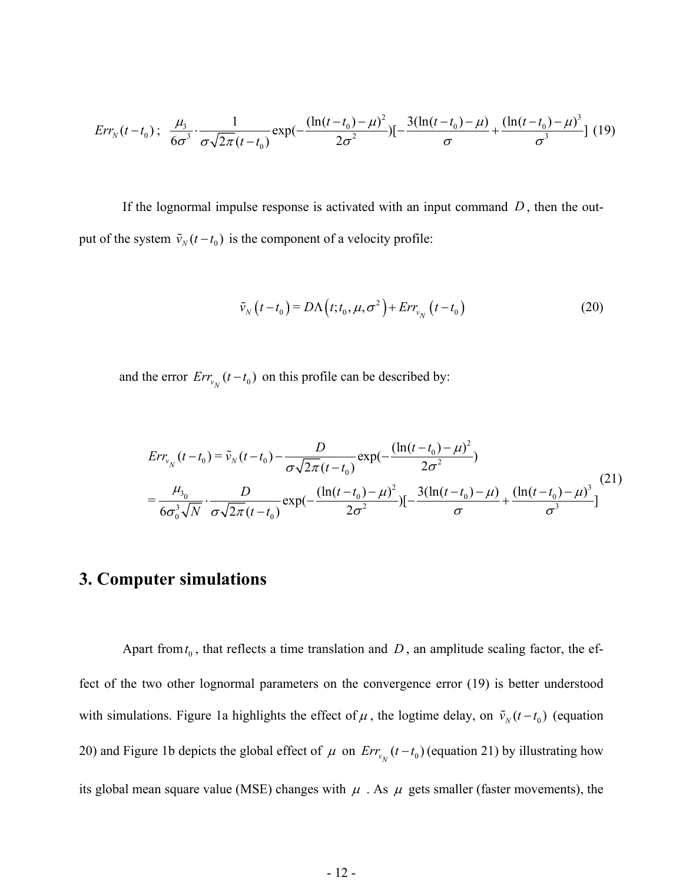$$
Err_{N}(t-t_0); \frac{\mu_3}{6\sigma^3} \cdot \frac{1}{\sigma\sqrt{2\pi}(t-t_0)} \exp(-\frac{(\ln(t-t_0)-\mu)^2}{2\sigma^2})[-\frac{3(\ln(t-t_0)-\mu)}{\sigma} + \frac{(\ln(t-t_0)-\mu)^3}{\sigma^3}] \tag{19}
$$

put of the system  $\tilde{v}_N(t-t_0)$  is the component of a velocity profile: If the lognormal impulse response is activated with an input command  $D$ , then the out-

$$
\tilde{v}_N(t-t_0) = D\Lambda\left(t; t_0, \mu, \sigma^2\right) + Err_{v_N}\left(t-t_0\right) \tag{20}
$$

and the error  $Err_{v_N}(t-t_0)$  on this profile can be described by:

$$
Err_{v_N}(t - t_0) = \tilde{v}_N(t - t_0) - \frac{D}{\sigma\sqrt{2\pi}(t - t_0)} \exp\left(-\frac{(\ln(t - t_0) - \mu)^2}{2\sigma^2}\right)
$$
  
=  $\frac{\mu_{3_0}}{6\sigma_0^3\sqrt{N}} \cdot \frac{D}{\sigma\sqrt{2\pi}(t - t_0)} \exp\left(-\frac{(\ln(t - t_0) - \mu)^2}{2\sigma^2}\right) \left[-\frac{3(\ln(t - t_0) - \mu)}{\sigma} + \frac{(\ln(t - t_0) - \mu)^3}{\sigma^3}\right]$  (21)

# **3. Computer simulations**

Apart from  $t_0$ , that reflects a time translation and D, an amplitude scaling factor, the effect of the two other lognormal parameters on the convergence error (19) is better understood with simulations. Figure 1a highlights the effect of  $\mu$ , the logtime delay, on  $\tilde{v}_N(t-t_0)$  (equation 20) and Figure 1b depicts the global effect of  $\mu$  on  $Err_{v_N}(t-t_0)$  (equation 21) by illustrating how its global mean square value (MSE) changes with  $\mu$ . As  $\mu$  gets smaller (faster movements), the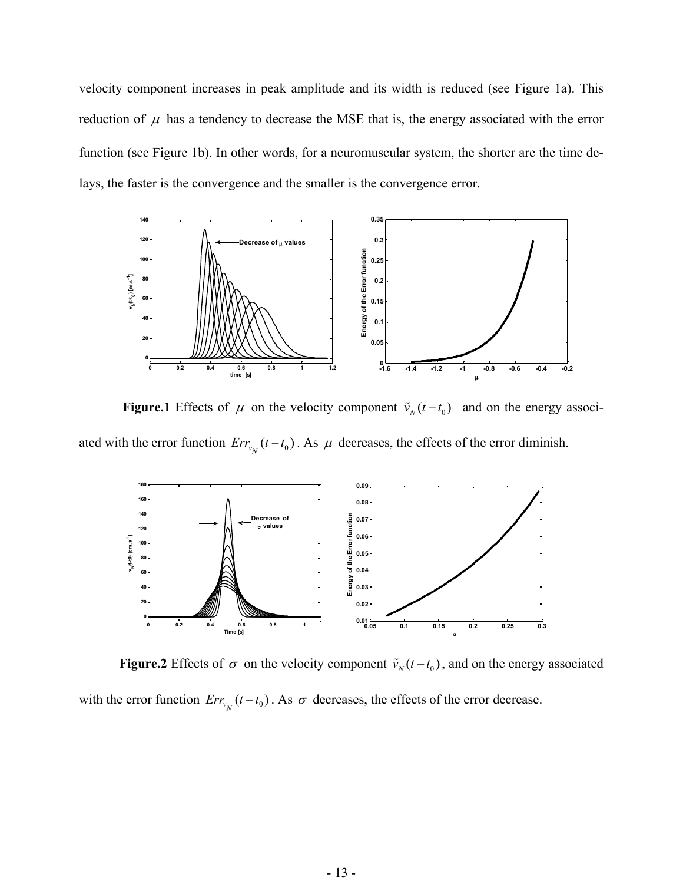velocity component increases in peak amplitude and its width is reduced (see Figure 1a). This reduction of  $\mu$  has a tendency to decrease the MSE that is, the energy associated with the error function (see Figure 1b). In other words, for a neuromuscular system, the shorter are the time delays, the faster is the convergence and the smaller is the convergence error.



**Figure.1** Effects of  $\mu$  on the velocity component  $\tilde{v}_N(t-t_0)$  and on the energy associated with the error function  $Err_{v_N}(t-t_0)$ . As  $\mu$  decreases, the effects of the error diminish.



**Figure.2** Effects of  $\sigma$  on the velocity component  $\tilde{v}_N(t-t_0)$ , and on the energy associated with the error function  $Err_{v_N}(t-t_0)$ . As  $\sigma$  decreases, the effects of the error decrease.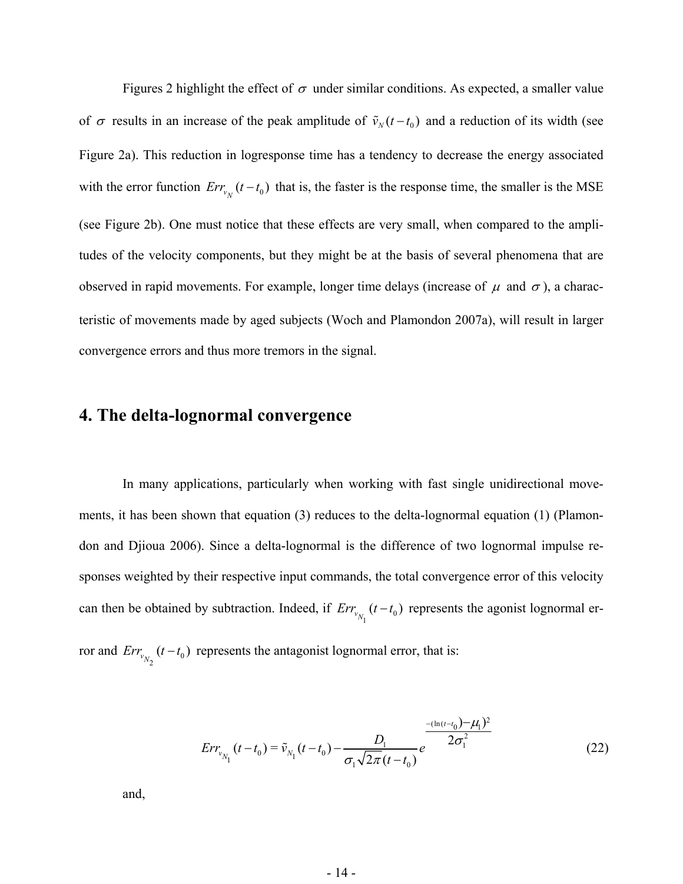Figures 2 highlight the effect of  $\sigma$  under similar conditions. As expected, a smaller value of  $\sigma$  results in an increase of the peak amplitude of  $\tilde{v}_N(t-t_0)$  and a reduction of its width (see Figure 2a). This reduction in logresponse time has a tendency to decrease the energy associated with the error function  $Err_{v_N}(t-t_0)$  that is, the faster is the response time, the smaller is the MSE (see Figure 2b). One must notice that these effects are very small, when compared to the amplitudes of the velocity components, but they might be at the basis of several phenomena that are observed in rapid movements. For example, longer time delays (increase of  $\mu$  and  $\sigma$ ), a characteristic of movements made by aged subjects (Woch and Plamondon 2007a), will result in larger convergence errors and thus more tremors in the signal.

# **4. The delta-lognormal convergence**

 In many applications, particularly when working with fast single unidirectional movements, it has been shown that equation (3) reduces to the delta-lognormal equation (1) (Plamondon and Djioua 2006). Since a delta-lognormal is the difference of two lognormal impulse responses weighted by their respective input commands, the total convergence error of this velocity can then be obtained by subtraction. Indeed, if  $Err_{v_{N_1}}(t-t_0)$  represents the agonist lognormal erfrom and  $Err_{v_{N_2}}(t-t_0)$  represents the antagonist lognormal error, that is:

$$
Err_{v_{N_1}}(t - t_0) = \tilde{v}_{N_1}(t - t_0) - \frac{D_1}{\sigma_1 \sqrt{2\pi (t - t_0)}} e^{-\frac{(\ln(t - t_0) - \mu_1)^2}{2\sigma_1^2}}
$$
(22)

and,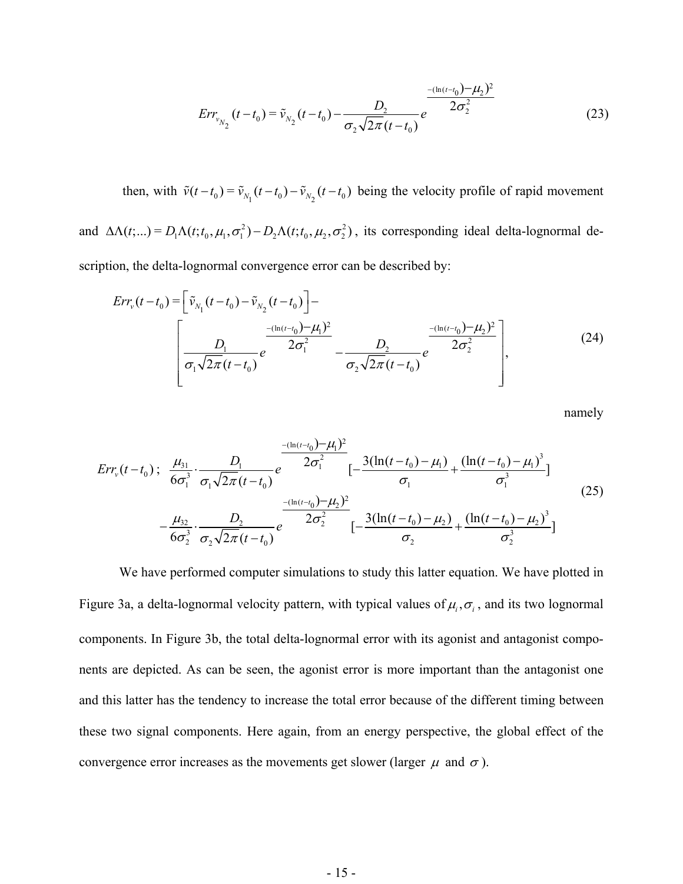$$
Err_{v_{N_2}}(t - t_0) = \tilde{v}_{N_2}(t - t_0) - \frac{D_2}{\sigma_2 \sqrt{2\pi}(t - t_0)} e^{\frac{-(\ln(t - t_0)) - \mu_2}{2\sigma_2^2}}
$$
(23)

then, with  $\tilde{v}(t - t_0) = \tilde{v}_{N_1}(t - t_0) - \tilde{v}_{N_2}(t - t_0)$  being the velocity profile of rapid movement and  $\Delta\Lambda(t;...)=D_1\Lambda(t;t_0,\mu_1,\sigma_1^2)-D_2\Lambda(t;t_0,\mu_2,\sigma_2^2)$ , its corresponding ideal delta-lognormal de-

scription, the delta-lognormal convergence error can be described by:

$$
Err_{\nu}(t - t_0) = \left[\tilde{\nu}_{N_1}(t - t_0) - \tilde{\nu}_{N_2}(t - t_0)\right] - \left[\frac{D_1}{\sigma_1\sqrt{2\pi}(t - t_0)}e^{-\frac{(\ln(t - t_0) - \mu_1)^2}{2\sigma_1^2}} - \frac{D_2}{\sigma_2\sqrt{2\pi}(t - t_0)}e^{-\frac{(\ln(t - t_0) - \mu_2)^2}{2\sigma_2^2}}\right],
$$
\n(24)

namely

$$
Err_{\nu}(t-t_0); \frac{\mu_{31}}{6\sigma_1^3} \cdot \frac{D_1}{\sigma_1 \sqrt{2\pi}(t-t_0)} e^{-\frac{2(\ln(t-t_0)-\mu_1)^2}{2\sigma_1^2}} [-\frac{3(\ln(t-t_0)-\mu_1)}{\sigma_1} + \frac{(\ln(t-t_0)-\mu_1)^3}{\sigma_1^3}]
$$
\n
$$
-\frac{\mu_{32}}{6\sigma_2^3} \cdot \frac{D_2}{\sigma_2 \sqrt{2\pi}(t-t_0)} e^{-\frac{2(\ln(t-t_0)-\mu_2)^2}{2\sigma_2^2}} [-\frac{3(\ln(t-t_0)-\mu_2)}{\sigma_2} + \frac{(\ln(t-t_0)-\mu_2)^3}{\sigma_2^3}]
$$
\n(25)

We have performed computer simulations to study this latter equation. We have plotted in Figure 3a, a delta-lognormal velocity pattern, with typical values of  $\mu_i$ ,  $\sigma_i$ , and its two lognormal components. In Figure 3b, the total delta-lognormal error with its agonist and antagonist components are depicted. As can be seen, the agonist error is more important than the antagonist one and this latter has the tendency to increase the total error because of the different timing between these two signal components. Here again, from an energy perspective, the global effect of the convergence error increases as the movements get slower (larger  $\mu$  and  $\sigma$ ).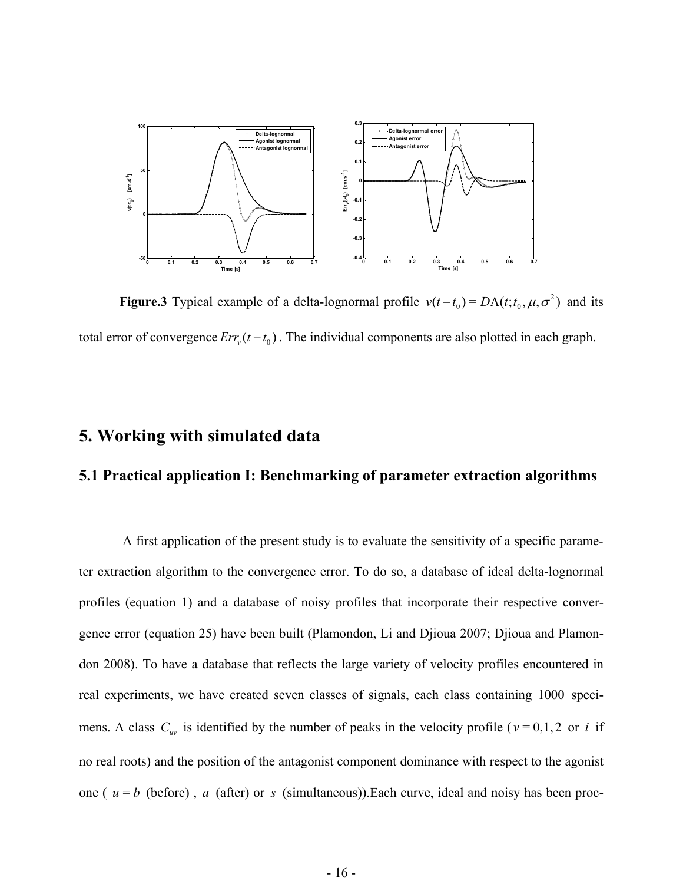

**Figure.3** Typical example of a delta-lognormal profile  $v(t-t_0) = D\Lambda(t; t_0, \mu, \sigma^2)$  and its total error of convergence  $Err_v(t - t_0)$ . The individual components are also plotted in each graph.

# **5. Working with simulated data**

### **5.1 Practical application I: Benchmarking of parameter extraction algorithms**

 A first application of the present study is to evaluate the sensitivity of a specific parameter extraction algorithm to the convergence error. To do so, a database of ideal delta-lognormal profiles (equation 1) and a database of noisy profiles that incorporate their respective convergence error (equation 25) have been built (Plamondon, Li and Djioua 2007; Djioua and Plamondon 2008). To have a database that reflects the large variety of velocity profiles encountered in real experiments, we have created seven classes of signals, each class containing 1000 specimens. A class  $C_{uv}$  is identified by the number of peaks in the velocity profile ( $v = 0,1,2$  or *i* if no real roots) and the position of the antagonist component dominance with respect to the agonist one ( $u = b$  (before),  $a$  (after) or  $s$  (simultaneous)). Each curve, ideal and noisy has been proc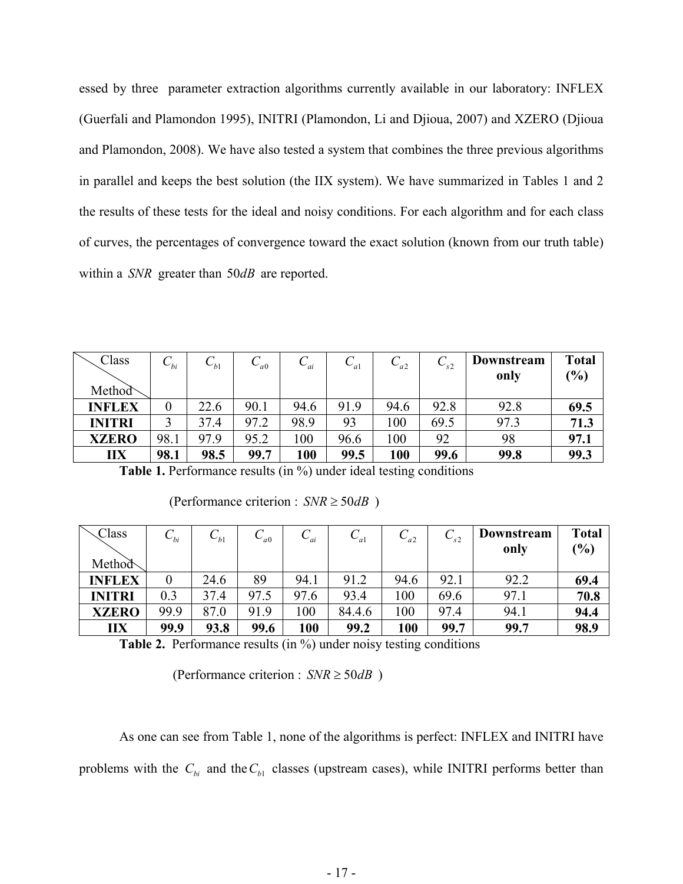essed by three parameter extraction algorithms currently available in our laboratory: INFLEX (Guerfali and Plamondon 1995), INITRI (Plamondon, Li and Djioua, 2007) and XZERO (Djioua and Plamondon, 2008). We have also tested a system that combines the three previous algorithms in parallel and keeps the best solution (the IIX system). We have summarized in Tables 1 and 2 the results of these tests for the ideal and noisy conditions. For each algorithm and for each class of curves, the percentages of convergence toward the exact solution (known from our truth table) within a *SNR* greater than 50*dB* are reported.

| Class<br>Method | $\mathcal{C}_{_{bi}}$ | $\cup_{b}$ | $\mathcal{L}_{a0}$ | $\cup_{ai}$ | $\cup_{a}$ | $C_{a2}$ | $\mathcal{L}_{s2}$ | Downstream<br>only | <b>Total</b><br>(%) |
|-----------------|-----------------------|------------|--------------------|-------------|------------|----------|--------------------|--------------------|---------------------|
| <b>INFLEX</b>   |                       | 22.6       | 90.1               | 94.6        | 91.9       | 94.6     | 92.8               | 92.8               | 69.5                |
| <b>INITRI</b>   |                       | 37.4       | 97.2               | 98.9        | 93         | 100      | 69.5               | 97.3               | 71.3                |
| <b>XZERO</b>    | 98.1                  | 97.9       | 95.2               | 100         | 96.6       | 100      | 92                 | 98                 | 97.1                |
| <b>IIX</b>      | 98.1                  | 98.5       | 99.7               | 100         | 99.5       | 100      | 99.6               | 99.8               | 99.3                |

**Table 1.** Performance results (in %) under ideal testing conditions

| (Performance criterion : $SNR \geq 50dB$ |  |
|------------------------------------------|--|
|------------------------------------------|--|

| Class         | $\cup_{hi}$ | $\cup_{b}$ | $\cup_{a}$ <sup>0</sup> | $\cup_{ai}$ | $\cup_{a}$ | $C_{a2}$ | $\sim$ s2 | Downstream | <b>Total</b> |
|---------------|-------------|------------|-------------------------|-------------|------------|----------|-----------|------------|--------------|
|               |             |            |                         |             |            |          |           | only       | (%)          |
| Method        |             |            |                         |             |            |          |           |            |              |
| <b>INFLEX</b> |             | 24.6       | 89                      | 94.1        | 91.2       | 94.6     | 92.1      | 92.2       | 69.4         |
| <b>INITRI</b> | 0.3         | 37.4       | 97.5                    | 97.6        | 93.4       | 100      | 69.6      | 97.1       | 70.8         |
| <b>XZERO</b>  | 99.9        | 87.0       | 91.9                    | 100         | 84.4.6     | 100      | 97.4      | 94.1       | 94.4         |
| <b>IIX</b>    | 99.9        | 93.8       | 99.6                    | 100         | 99.2       | 100      | 99.7      | 99.7       | 98.9         |

**Table 2.** Performance results (in %) under noisy testing conditions

(Performance criterion :  $SNR \geq 50dB$ )

As one can see from Table 1, none of the algorithms is perfect: INFLEX and INITRI have problems with the  $C_{bi}$  and the  $C_{b1}$  classes (upstream cases), while INITRI performs better than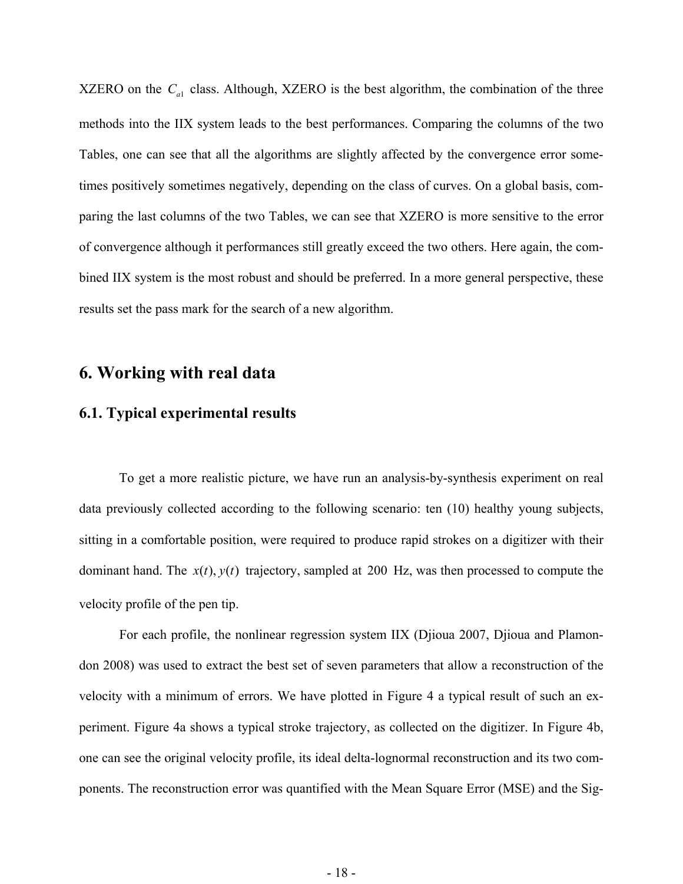XZERO on the  $C_{a1}$  class. Although, XZERO is the best algorithm, the combination of the three methods into the IIX system leads to the best performances. Comparing the columns of the two Tables, one can see that all the algorithms are slightly affected by the convergence error sometimes positively sometimes negatively, depending on the class of curves. On a global basis, comparing the last columns of the two Tables, we can see that XZERO is more sensitive to the error of convergence although it performances still greatly exceed the two others. Here again, the combined IIX system is the most robust and should be preferred. In a more general perspective, these results set the pass mark for the search of a new algorithm.

## **6. Working with real data**

### **6.1. Typical experimental results**

To get a more realistic picture, we have run an analysis-by-synthesis experiment on real data previously collected according to the following scenario: ten (10) healthy young subjects, sitting in a comfortable position, were required to produce rapid strokes on a digitizer with their dominant hand. The  $x(t)$ ,  $y(t)$  trajectory, sampled at 200 Hz, was then processed to compute the velocity profile of the pen tip.

For each profile, the nonlinear regression system IIX (Djioua 2007, Djioua and Plamondon 2008) was used to extract the best set of seven parameters that allow a reconstruction of the velocity with a minimum of errors. We have plotted in Figure 4 a typical result of such an experiment. Figure 4a shows a typical stroke trajectory, as collected on the digitizer. In Figure 4b, one can see the original velocity profile, its ideal delta-lognormal reconstruction and its two components. The reconstruction error was quantified with the Mean Square Error (MSE) and the Sig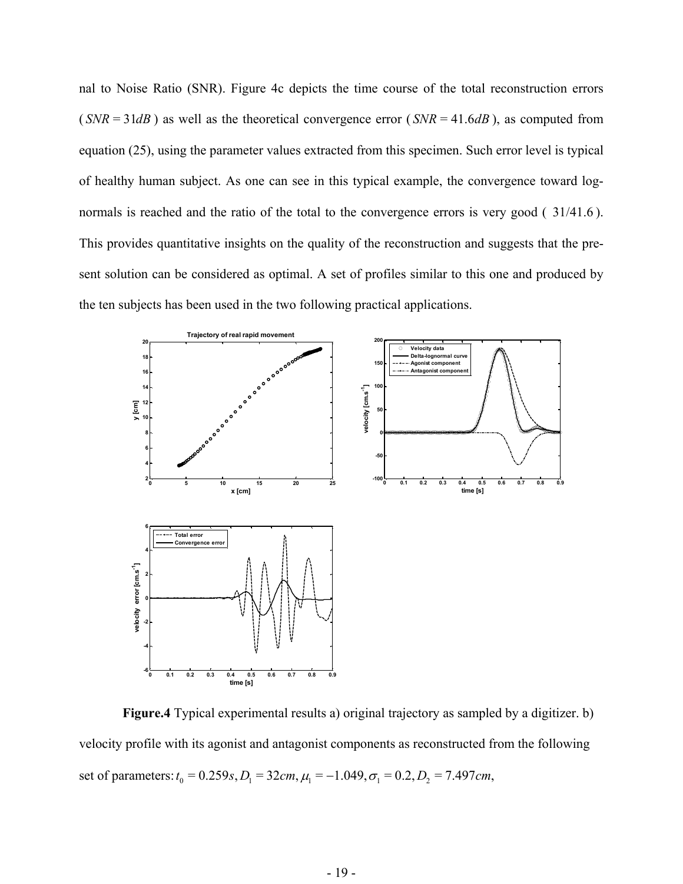nal to Noise Ratio (SNR). Figure 4c depicts the time course of the total reconstruction errors  $(SNR = 31dB)$  as well as the theoretical convergence error  $(SNR = 41.6dB)$ , as computed from equation (25), using the parameter values extracted from this specimen. Such error level is typical of healthy human subject. As one can see in this typical example, the convergence toward lognormals is reached and the ratio of the total to the convergence errors is very good  $(31/41.6)$ . This provides quantitative insights on the quality of the reconstruction and suggests that the present solution can be considered as optimal. A set of profiles similar to this one and produced by the ten subjects has been used in the two following practical applications.



 **Figure.4** Typical experimental results a) original trajectory as sampled by a digitizer. b) velocity profile with its agonist and antagonist components as reconstructed from the following set of parameters:  $t_0 = 0.259s$ ,  $D_1 = 32cm$ ,  $\mu_1 = -1.049$ ,  $\sigma_1 = 0.2$ ,  $D_2 = 7.497cm$ ,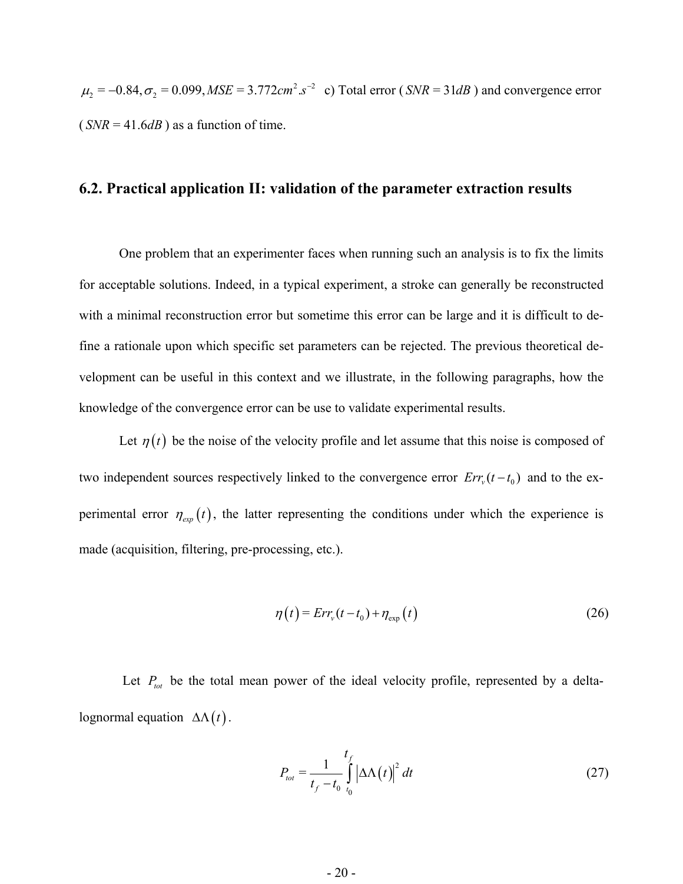$\mu_2 = -0.84, \sigma_2 = 0.099, MSE = 3.772 cm^2 . s^{-2}$  c) Total error (*SNR* = 31*dB*) and convergence error  $(SNR = 41.6dB)$  as a function of time.

#### **6.2. Practical application II: validation of the parameter extraction results**

One problem that an experimenter faces when running such an analysis is to fix the limits for acceptable solutions. Indeed, in a typical experiment, a stroke can generally be reconstructed with a minimal reconstruction error but sometime this error can be large and it is difficult to define a rationale upon which specific set parameters can be rejected. The previous theoretical development can be useful in this context and we illustrate, in the following paragraphs, how the knowledge of the convergence error can be use to validate experimental results.

Let  $\eta(t)$  be the noise of the velocity profile and let assume that this noise is composed of perimental error  $\eta_{exp}(t)$ , the latter representing the conditions under which the experience is *Err*<sub>v</sub> $(t - t_0)$  and to the exmade (acquisition, filtering, pre-processing, etc.).

$$
\eta(t) = Err_v(t-t_0) + \eta_{exp}(t)
$$
\n(26)

Let  $P_{tot}$  be the total mean power of the ideal velocity profile, represented by a deltalognormal equation  $\Delta\Lambda(t)$ .

$$
P_{tot} = \frac{1}{t_f - t_0} \int_{t_0}^{t_f} \left| \Delta \Lambda \left( t \right) \right|^2 dt \tag{27}
$$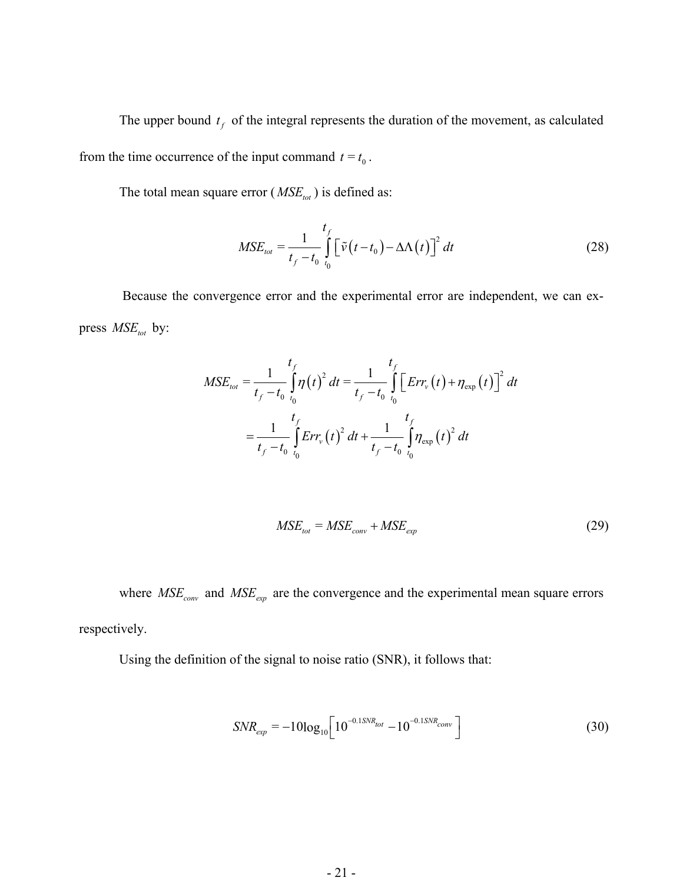The upper bound  $t_f$  of the integral represents the duration of the movement, as calculated from the time occurrence of the input command  $t = t_0$ .

The total mean square error ( $MSE_{tot}$ ) is defined as:

$$
MSE_{\text{tot}} = \frac{1}{t_f - t_0} \int_{t_0}^{t_f} \left[ \tilde{\nu}(t - t_0) - \Delta \Lambda(t) \right]^2 dt
$$
 (28)

 Because the convergence error and the experimental error are independent, we can express  $MSE_{tot}$  by:

$$
MSE_{tot} = \frac{1}{t_f - t_0} \int_{t_0}^{t_f} \eta(t)^2 dt = \frac{1}{t_f - t_0} \int_{t_0}^{t_f} \left[ Err_v(t) + \eta_{exp}(t)\right]^2 dt
$$

$$
= \frac{1}{t_f - t_0} \int_{t_0}^{t_f} Err_v(t)^2 dt + \frac{1}{t_f - t_0} \int_{t_0}^{t_f} \eta_{exp}(t)^2 dt
$$

$$
MSE_{tot} = MSE_{conv} + MSE_{exp}
$$
 (29)

where  $MSE_{conv}$  and  $MSE_{exp}$  are the convergence and the experimental mean square errors respectively.

Using the definition of the signal to noise ratio (SNR), it follows that:

$$
SNR_{exp} = -10\log_{10}\left[10^{-0.15NR_{tot}} - 10^{-0.15NR_{conv}}\right]
$$
 (30)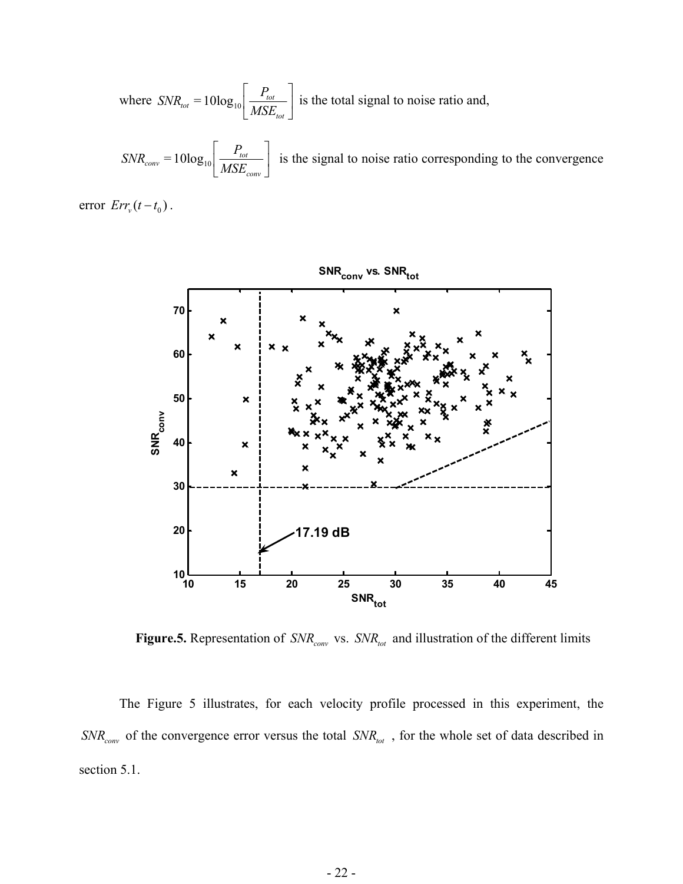where 
$$
SNR_{tot} = 10\log_{10} \left[ \frac{P_{tot}}{MSE_{tot}} \right]
$$
 is the total signal to noise ratio and,

 $t_{conv} = 10 \log_{10} \frac{t_{tot}}{MSE}$ *conv*  $SNR_{conv} = 10 \log_{10} \frac{P_t}{P}$ *MSE*  $P_{\rm tot}$  $\left[\frac{I_{tot}}{MSE_{conv}}\right]$  is the signal to noise ratio corresponding to the convergence

error  $Err_v(t - t_0)$ .



 **Figure.5.** Representation of  $SNR_{conv}$  vs.  $SNR_{tot}$  and illustration of the different limits

The Figure 5 illustrates, for each velocity profile processed in this experiment, the  $SNR_{conv}$  of the convergence error versus the total  $SNR_{tot}$ , for the whole set of data described in section 5.1.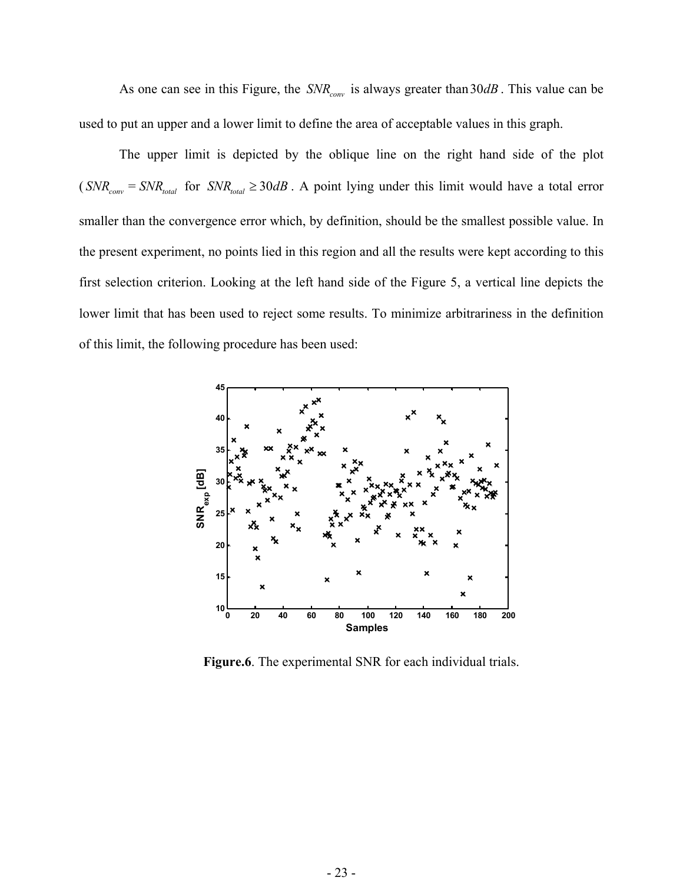As one can see in this Figure, the  $SNR_{conv}$  is always greater than  $30dB$ . This value can be used to put an upper and a lower limit to define the area of acceptable values in this graph.

The upper limit is depicted by the oblique line on the right hand side of the plot  $(SNR_{conv} = SNR_{total}$  for  $SNR_{total} \ge 30dB$ . A point lying under this limit would have a total error smaller than the convergence error which, by definition, should be the smallest possible value. In the present experiment, no points lied in this region and all the results were kept according to this first selection criterion. Looking at the left hand side of the Figure 5, a vertical line depicts the lower limit that has been used to reject some results. To minimize arbitrariness in the definition of this limit, the following procedure has been used:



**Figure.6**. The experimental SNR for each individual trials.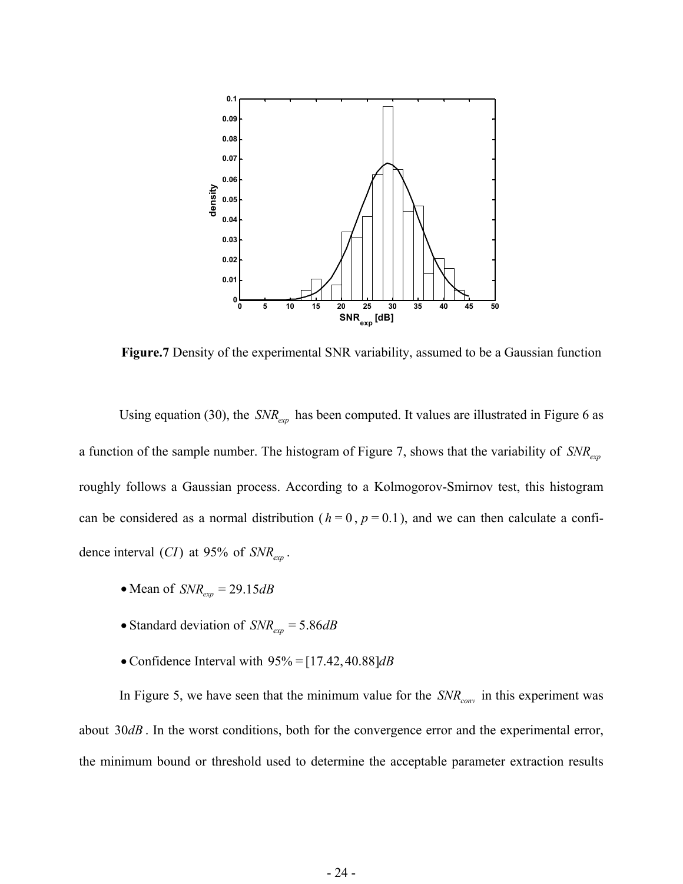

**Figure.7** Density of the experimental SNR variability, assumed to be a Gaussian function

Using equation (30), the *SNR*<sub>exp</sub> has been computed. It values are illustrated in Figure 6 as a function of the sample number. The histogram of Figure 7, shows that the variability of  $SNR_{exp}$ roughly follows a Gaussian process. According to a Kolmogorov-Smirnov test, this histogram can be considered as a normal distribution ( $h = 0$ ,  $p = 0.1$ ), and we can then calculate a confidence interval  $(CI)$  at 95% of  $SNR_{exp}$ .

- Mean of  $SNR_{exp} = 29.15 dB$
- Standard deviation of  $SNR_{exp} = 5.86 dB$
- Confidence Interval with 95% = [17.42, 40.88]*dB*

In Figure 5, we have seen that the minimum value for the  $SNR_{conv}$  in this experiment was about 30*dB*. In the worst conditions, both for the convergence error and the experimental error, the minimum bound or threshold used to determine the acceptable parameter extraction results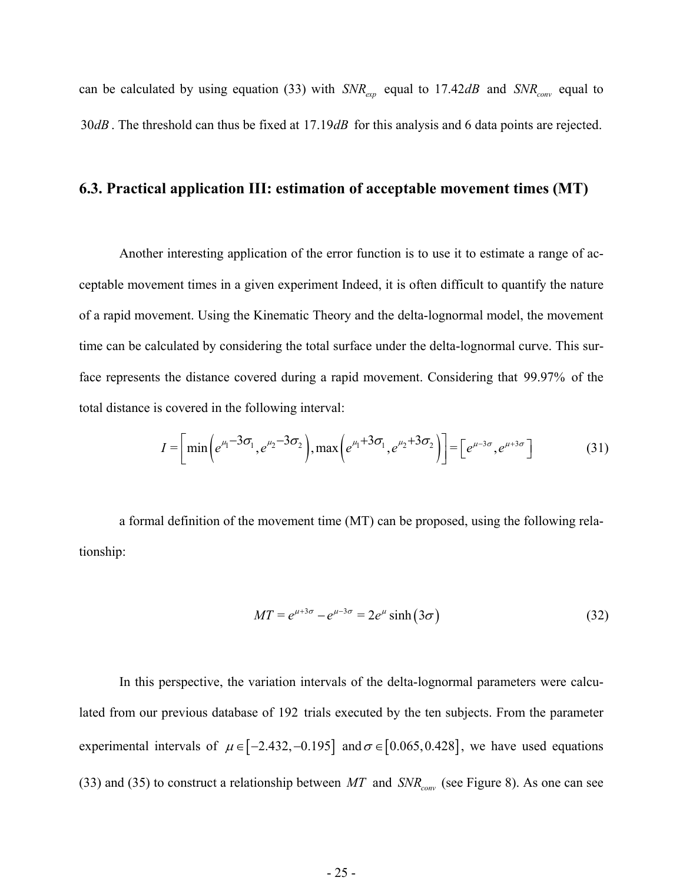can be calculated by using equation (33) with  $SNR_{exp}$  equal to 17.42dB and  $SNR_{conv}$  equal to 30 $dB$ . The threshold can thus be fixed at  $17.19dB$  for this analysis and 6 data points are rejected.

#### **6.3. Practical application III: estimation of acceptable movement times (MT)**

Another interesting application of the error function is to use it to estimate a range of acceptable movement times in a given experiment Indeed, it is often difficult to quantify the nature of a rapid movement. Using the Kinematic Theory and the delta-lognormal model, the movement time can be calculated by considering the total surface under the delta-lognormal curve. This surface represents the distance covered during a rapid movement. Considering that 99.97% of the total distance is covered in the following interval:

$$
I = \left[ \min \left( e^{\mu_1 - 3\sigma_1}, e^{\mu_2 - 3\sigma_2} \right), \max \left( e^{\mu_1 + 3\sigma_1}, e^{\mu_2 + 3\sigma_2} \right) \right] = \left[ e^{\mu - 3\sigma}, e^{\mu + 3\sigma} \right] \tag{31}
$$

a formal definition of the movement time (MT) can be proposed, using the following relationship:

$$
MT = e^{\mu + 3\sigma} - e^{\mu - 3\sigma} = 2e^{\mu} \sinh(3\sigma)
$$
 (32)

In this perspective, the variation intervals of the delta-lognormal parameters were calculated from our previous database of 192 trials executed by the ten subjects. From the parameter experimental intervals of  $\mu \in [-2.432, -0.195]$  and  $\sigma \in [0.065, 0.428]$ , we have used equations (33) and (35) to construct a relationship between  $MT$  and  $SNR_{conv}$  (see Figure 8). As one can see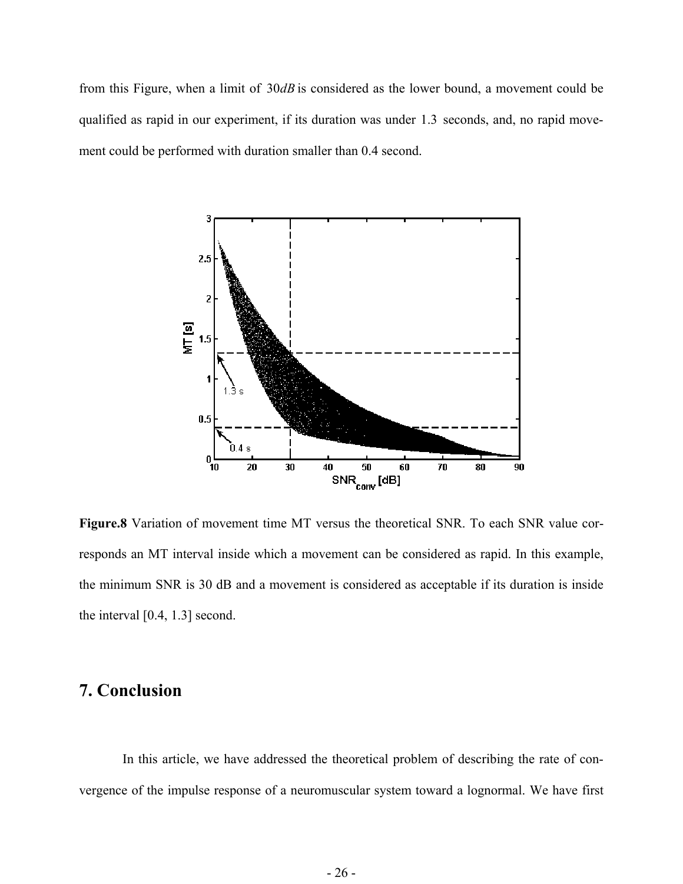from this Figure, when a limit of  $30dB$  is considered as the lower bound, a movement could be qualified as rapid in our experiment, if its duration was under 1.3 seconds, and, no rapid movement could be performed with duration smaller than 0.4 second.



**Figure.8** Variation of movement time MT versus the theoretical SNR. To each SNR value corresponds an MT interval inside which a movement can be considered as rapid. In this example, the minimum SNR is 30 dB and a movement is considered as acceptable if its duration is inside the interval [0.4, 1.3] second.

# **7. Conclusion**

 In this article, we have addressed the theoretical problem of describing the rate of convergence of the impulse response of a neuromuscular system toward a lognormal. We have first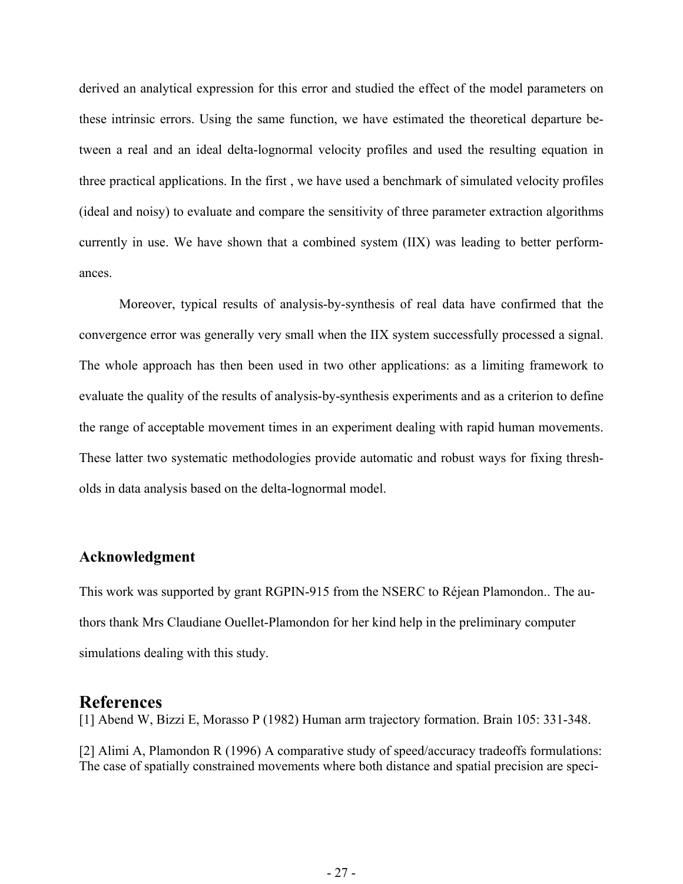derived an analytical expression for this error and studied the effect of the model parameters on these intrinsic errors. Using the same function, we have estimated the theoretical departure between a real and an ideal delta-lognormal velocity profiles and used the resulting equation in three practical applications. In the first , we have used a benchmark of simulated velocity profiles (ideal and noisy) to evaluate and compare the sensitivity of three parameter extraction algorithms currently in use. We have shown that a combined system (IIX) was leading to better performances.

Moreover, typical results of analysis-by-synthesis of real data have confirmed that the convergence error was generally very small when the IIX system successfully processed a signal. The whole approach has then been used in two other applications: as a limiting framework to evaluate the quality of the results of analysis-by-synthesis experiments and as a criterion to define the range of acceptable movement times in an experiment dealing with rapid human movements. These latter two systematic methodologies provide automatic and robust ways for fixing thresholds in data analysis based on the delta-lognormal model.

#### **Acknowledgment**

This work was supported by grant RGPIN-915 from the NSERC to Réjean Plamondon.. The authors thank Mrs Claudiane Ouellet-Plamondon for her kind help in the preliminary computer simulations dealing with this study.

#### **References**

[1] Abend W, Bizzi E, Morasso P (1982) Human arm trajectory formation. Brain 105: 331-348.

[2] Alimi A, Plamondon R (1996) A comparative study of speed/accuracy tradeoffs formulations: The case of spatially constrained movements where both distance and spatial precision are speci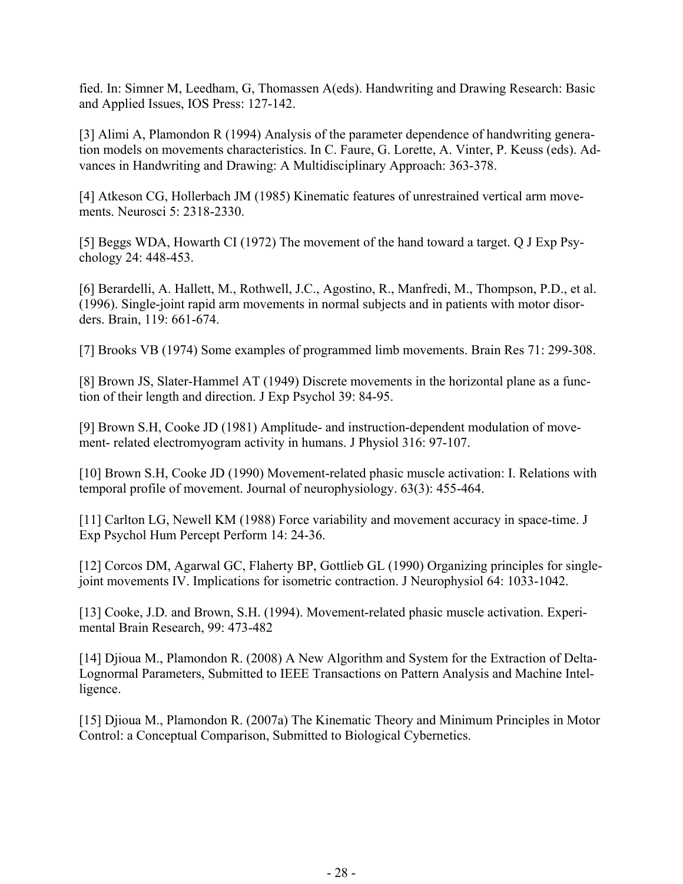fied. In: Simner M, Leedham, G, Thomassen A(eds). Handwriting and Drawing Research: Basic and Applied Issues, IOS Press: 127-142.

[3] Alimi A, Plamondon R (1994) Analysis of the parameter dependence of handwriting generation models on movements characteristics. In C. Faure, G. Lorette, A. Vinter, P. Keuss (eds). Advances in Handwriting and Drawing: A Multidisciplinary Approach: 363-378.

[4] Atkeson CG, Hollerbach JM (1985) Kinematic features of unrestrained vertical arm movements. Neurosci 5: 2318-2330.

[5] Beggs WDA, Howarth CI (1972) The movement of the hand toward a target. Q J Exp Psychology 24: 448-453.

[6] Berardelli, A. Hallett, M., Rothwell, J.C., Agostino, R., Manfredi, M., Thompson, P.D., et al. (1996). Single-joint rapid arm movements in normal subjects and in patients with motor disorders. Brain, 119: 661-674.

[7] Brooks VB (1974) Some examples of programmed limb movements. Brain Res 71: 299-308.

[8] Brown JS, Slater-Hammel AT (1949) Discrete movements in the horizontal plane as a function of their length and direction. J Exp Psychol 39: 84-95.

[9] Brown S.H, Cooke JD (1981) Amplitude- and instruction-dependent modulation of movement- related electromyogram activity in humans. J Physiol 316: 97-107.

[10] Brown S.H, Cooke JD (1990) Movement-related phasic muscle activation: I. Relations with temporal profile of movement. Journal of neurophysiology. 63(3): 455-464.

[11] Carlton LG, Newell KM (1988) Force variability and movement accuracy in space-time. J Exp Psychol Hum Percept Perform 14: 24-36.

[12] Corcos DM, Agarwal GC, Flaherty BP, Gottlieb GL (1990) Organizing principles for singlejoint movements IV. Implications for isometric contraction. J Neurophysiol 64: 1033-1042.

[13] Cooke, J.D. and Brown, S.H. (1994). Movement-related phasic muscle activation. Experimental Brain Research, 99: 473-482

[14] Djioua M., Plamondon R. (2008) A New Algorithm and System for the Extraction of Delta-Lognormal Parameters, Submitted to IEEE Transactions on Pattern Analysis and Machine Intelligence.

[15] Djioua M., Plamondon R. (2007a) The Kinematic Theory and Minimum Principles in Motor Control: a Conceptual Comparison, Submitted to Biological Cybernetics.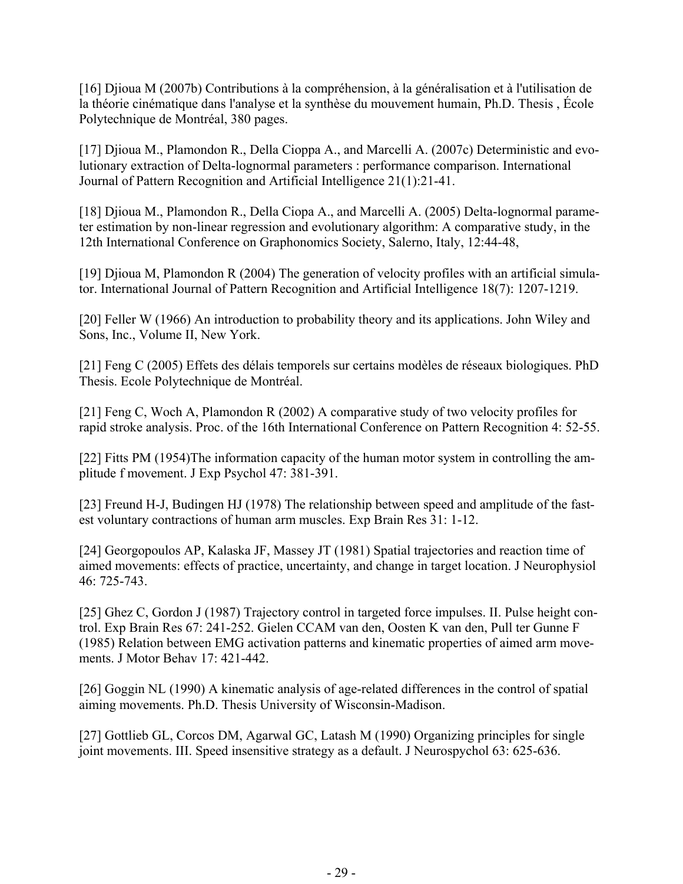[16] Djioua M (2007b) Contributions à la compréhension, à la généralisation et à l'utilisation de la théorie cinématique dans l'analyse et la synthèse du mouvement humain, Ph.D. Thesis , École Polytechnique de Montréal, 380 pages.

[17] Djioua M., Plamondon R., Della Cioppa A., and Marcelli A. (2007c) Deterministic and evolutionary extraction of Delta-lognormal parameters : performance comparison. International Journal of Pattern Recognition and Artificial Intelligence 21(1):21-41.

[18] Djioua M., Plamondon R., Della Ciopa A., and Marcelli A. (2005) Delta-lognormal parameter estimation by non-linear regression and evolutionary algorithm: A comparative study, in the 12th International Conference on Graphonomics Society, Salerno, Italy, 12:44-48,

[19] Djioua M, Plamondon R (2004) The generation of velocity profiles with an artificial simulator. International Journal of Pattern Recognition and Artificial Intelligence 18(7): 1207-1219.

[20] Feller W (1966) An introduction to probability theory and its applications. John Wiley and Sons, Inc., Volume II, New York.

[21] Feng C (2005) Effets des délais temporels sur certains modèles de réseaux biologiques. PhD Thesis. Ecole Polytechnique de Montréal.

[21] Feng C, Woch A, Plamondon R (2002) A comparative study of two velocity profiles for rapid stroke analysis. Proc. of the 16th International Conference on Pattern Recognition 4: 52-55.

[22] Fitts PM (1954)The information capacity of the human motor system in controlling the amplitude f movement. J Exp Psychol 47: 381-391.

[23] Freund H-J, Budingen HJ (1978) The relationship between speed and amplitude of the fastest voluntary contractions of human arm muscles. Exp Brain Res 31: 1-12.

[24] Georgopoulos AP, Kalaska JF, Massey JT (1981) Spatial trajectories and reaction time of aimed movements: effects of practice, uncertainty, and change in target location. J Neurophysiol 46: 725-743.

[25] Ghez C, Gordon J (1987) Trajectory control in targeted force impulses. II. Pulse height control. Exp Brain Res 67: 241-252. Gielen CCAM van den, Oosten K van den, Pull ter Gunne F (1985) Relation between EMG activation patterns and kinematic properties of aimed arm movements. J Motor Behav 17: 421-442.

[26] Goggin NL (1990) A kinematic analysis of age-related differences in the control of spatial aiming movements. Ph.D. Thesis University of Wisconsin-Madison.

[27] Gottlieb GL, Corcos DM, Agarwal GC, Latash M (1990) Organizing principles for single joint movements. III. Speed insensitive strategy as a default. J Neurospychol 63: 625-636.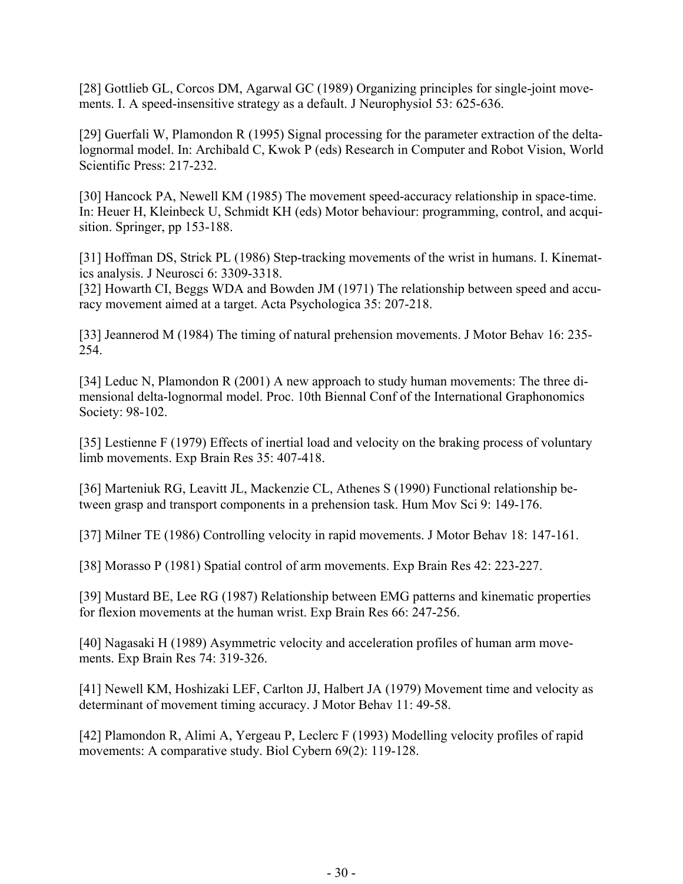[28] Gottlieb GL, Corcos DM, Agarwal GC (1989) Organizing principles for single-joint movements. I. A speed-insensitive strategy as a default. J Neurophysiol 53: 625-636.

[29] Guerfali W, Plamondon R (1995) Signal processing for the parameter extraction of the deltalognormal model. In: Archibald C, Kwok P (eds) Research in Computer and Robot Vision, World Scientific Press: 217-232.

[30] Hancock PA, Newell KM (1985) The movement speed-accuracy relationship in space-time. In: Heuer H, Kleinbeck U, Schmidt KH (eds) Motor behaviour: programming, control, and acquisition. Springer, pp 153-188.

[31] Hoffman DS, Strick PL (1986) Step-tracking movements of the wrist in humans. I. Kinematics analysis. J Neurosci 6: 3309-3318.

[32] Howarth CI, Beggs WDA and Bowden JM (1971) The relationship between speed and accuracy movement aimed at a target. Acta Psychologica 35: 207-218.

[33] Jeannerod M (1984) The timing of natural prehension movements. J Motor Behav 16: 235- 254.

[34] Leduc N, Plamondon R (2001) A new approach to study human movements: The three dimensional delta-lognormal model. Proc. 10th Biennal Conf of the International Graphonomics Society: 98-102.

[35] Lestienne F (1979) Effects of inertial load and velocity on the braking process of voluntary limb movements. Exp Brain Res 35: 407-418.

[36] Marteniuk RG, Leavitt JL, Mackenzie CL, Athenes S (1990) Functional relationship between grasp and transport components in a prehension task. Hum Mov Sci 9: 149-176.

[37] Milner TE (1986) Controlling velocity in rapid movements. J Motor Behav 18: 147-161.

[38] Morasso P (1981) Spatial control of arm movements. Exp Brain Res 42: 223-227.

[39] Mustard BE, Lee RG (1987) Relationship between EMG patterns and kinematic properties for flexion movements at the human wrist. Exp Brain Res 66: 247-256.

[40] Nagasaki H (1989) Asymmetric velocity and acceleration profiles of human arm movements. Exp Brain Res 74: 319-326.

[41] Newell KM, Hoshizaki LEF, Carlton JJ, Halbert JA (1979) Movement time and velocity as determinant of movement timing accuracy. J Motor Behav 11: 49-58.

[42] Plamondon R, Alimi A, Yergeau P, Leclerc F (1993) Modelling velocity profiles of rapid movements: A comparative study. Biol Cybern 69(2): 119-128.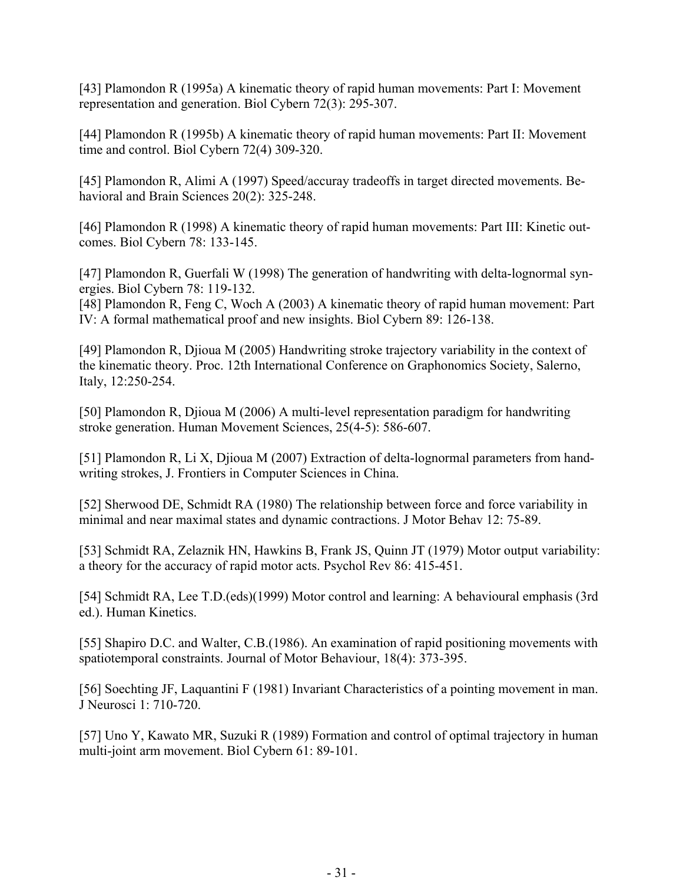[43] Plamondon R (1995a) A kinematic theory of rapid human movements: Part I: Movement representation and generation. Biol Cybern 72(3): 295-307.

[44] Plamondon R (1995b) A kinematic theory of rapid human movements: Part II: Movement time and control. Biol Cybern 72(4) 309-320.

[45] Plamondon R, Alimi A (1997) Speed/accuray tradeoffs in target directed movements. Behavioral and Brain Sciences 20(2): 325-248.

[46] Plamondon R (1998) A kinematic theory of rapid human movements: Part III: Kinetic outcomes. Biol Cybern 78: 133-145.

[47] Plamondon R, Guerfali W (1998) The generation of handwriting with delta-lognormal synergies. Biol Cybern 78: 119-132.

[48] Plamondon R, Feng C, Woch A (2003) A kinematic theory of rapid human movement: Part IV: A formal mathematical proof and new insights. Biol Cybern 89: 126-138.

[49] Plamondon R, Djioua M (2005) Handwriting stroke trajectory variability in the context of the kinematic theory. Proc. 12th International Conference on Graphonomics Society, Salerno, Italy, 12:250-254.

[50] Plamondon R, Djioua M (2006) A multi-level representation paradigm for handwriting stroke generation. Human Movement Sciences, 25(4-5): 586-607.

[51] Plamondon R, Li X, Djioua M (2007) Extraction of delta-lognormal parameters from handwriting strokes, J. Frontiers in Computer Sciences in China.

[52] Sherwood DE, Schmidt RA (1980) The relationship between force and force variability in minimal and near maximal states and dynamic contractions. J Motor Behav 12: 75-89.

[53] Schmidt RA, Zelaznik HN, Hawkins B, Frank JS, Quinn JT (1979) Motor output variability: a theory for the accuracy of rapid motor acts. Psychol Rev 86: 415-451.

[54] Schmidt RA, Lee T.D.(eds)(1999) Motor control and learning: A behavioural emphasis (3rd ed.). Human Kinetics.

[55] Shapiro D.C. and Walter, C.B.(1986). An examination of rapid positioning movements with spatiotemporal constraints. Journal of Motor Behaviour, 18(4): 373-395.

[56] Soechting JF, Laquantini F (1981) Invariant Characteristics of a pointing movement in man. J Neurosci 1: 710-720.

[57] Uno Y, Kawato MR, Suzuki R (1989) Formation and control of optimal trajectory in human multi-joint arm movement. Biol Cybern 61: 89-101.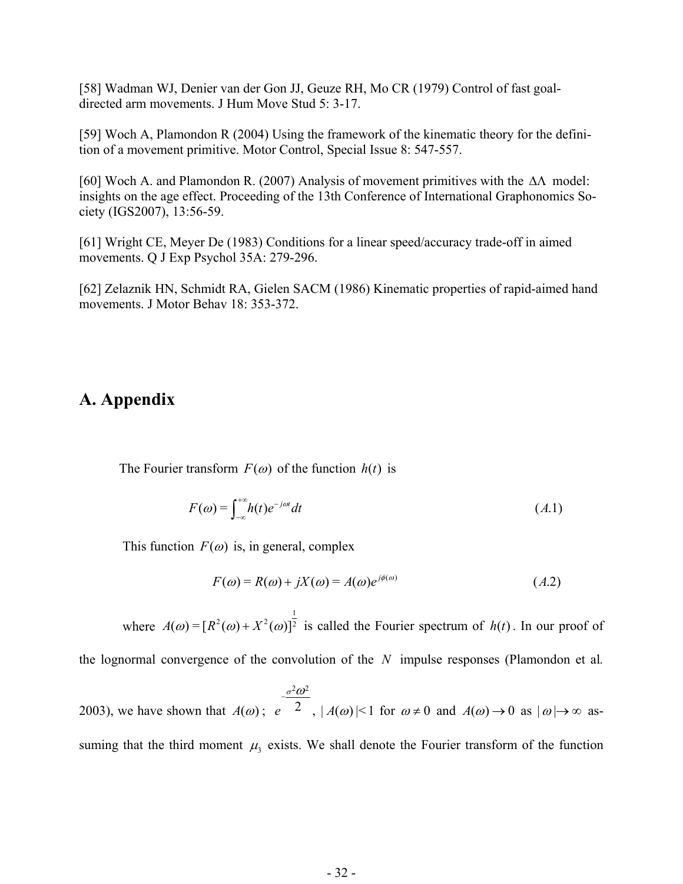[58] Wadman WJ, Denier van der Gon JJ, Geuze RH, Mo CR (1979) Control of fast goaldirected arm movements. J Hum Move Stud 5: 3-17.

[59] Woch A, Plamondon R (2004) Using the framework of the kinematic theory for the definition of a movement primitive. Motor Control, Special Issue 8: 547-557.

[60] Woch A. and Plamondon R. (2007) Analysis of movement primitives with the  $\Delta\Lambda$  model: insights on the age effect. Proceeding of the 13th Conference of International Graphonomics Society (IGS2007), 13:56-59.

[61] Wright CE, Meyer De (1983) Conditions for a linear speed/accuracy trade-off in aimed movements. Q J Exp Psychol 35A: 279-296.

[62] Zelaznik HN, Schmidt RA, Gielen SACM (1986) Kinematic properties of rapid-aimed hand movements. J Motor Behav 18: 353-372.

# **A. Appendix**

The Fourier transform  $F(\omega)$  of the function  $h(t)$  is

$$
F(\omega) = \int_{-\infty}^{+\infty} h(t)e^{-j\omega t}dt
$$
\n(A.1)

This function  $F(\omega)$  is, in general, complex

$$
F(\omega) = R(\omega) + jX(\omega) = A(\omega)e^{j\phi(\omega)} \tag{A.2}
$$

 where  $A(\omega) = [R^2(\omega) + X^2(\omega)]^{\frac{1}{2}}$  is called the Fourier spectrum of  $h(t)$ . In our proof of

the lognormal convergence of the convolution of the  $N$  impulse responses (Plamondon et al.

2003), we have shown that  $2\pi^2$  $A(\omega)$ ; e  $^2$  $\sigma$ <sup>2</sup> $\omega$ ω −  $; e^{-2}$ ,  $|A(\omega)|<1$  for  $\omega \neq 0$  and  $A(\omega) \rightarrow 0$  as  $|\omega| \rightarrow \infty$  assuming that the third moment  $\mu_3$  exists. We shall denote the Fourier transform of the function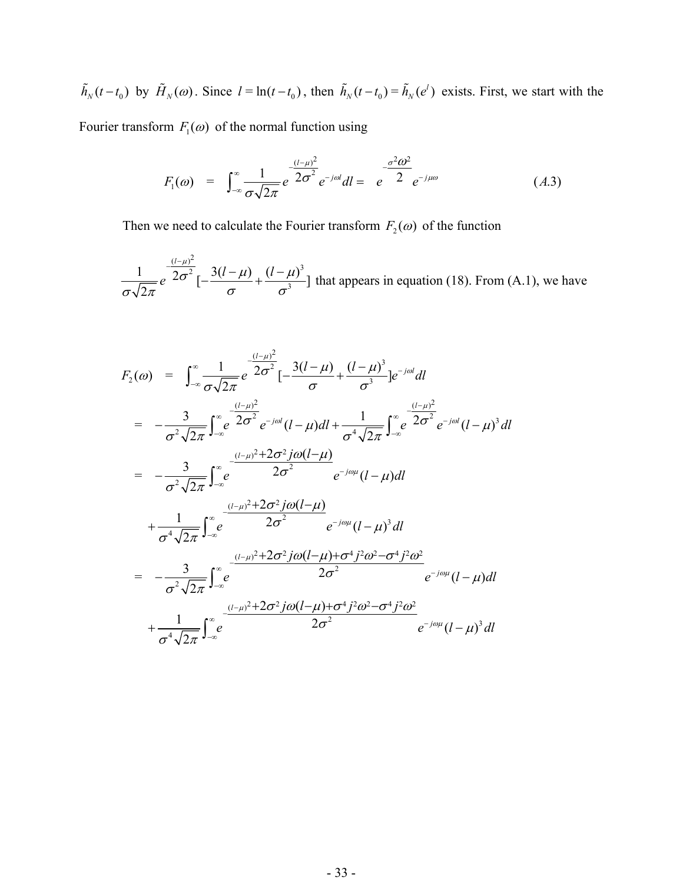$\tilde{h}_N(t-t_0)$  by  $\tilde{H}_N(\omega)$ . Since  $l = \ln(t-t_0)$ , then  $\tilde{h}_N(t-t_0) = \tilde{h}_N(e^l)$  exists. First, we start with the

Fourier transform  $F_1(\omega)$  of the normal function using

$$
F_1(\omega) = \int_{-\infty}^{\infty} \frac{1}{\sigma \sqrt{2\pi}} e^{-\frac{(l-\mu)^2}{2\sigma^2}} e^{-j\omega l} dl = e^{-\frac{\sigma^2 \omega^2}{2}} e^{-j\mu\omega}
$$
 (A.3)

Then we need to calculate the Fourier transform  $F_2(\omega)$  of the function

 $(l-\mu)^2$  $\frac{1}{2\sigma^2}\left[-\frac{(l-\mu)^2}{2\sigma^2}\right] - \frac{3(l-\mu)}{2} + \frac{(l-\mu)^3}{2}$  $\frac{1}{\sigma\sqrt{2\pi}}e^{-2\sigma^2}\left[-\frac{3(l-\mu)}{\sigma}+\frac{(l-\mu)^3}{\sigma^3}\right]$  $-\frac{(l-\mu)^2}{2\sigma^2}$   $\left[-\frac{3(l-\mu)}{2}+\frac{(l-\mu)^2}{2}\right]$ that appears in equation  $(18)$ . From  $(A.1)$ , we have

$$
F_{2}(\omega) = \int_{-\infty}^{\infty} \frac{1}{\sigma \sqrt{2\pi}} e^{-\frac{(l-\mu)^{2}}{2\sigma^{2}}} [-\frac{3(l-\mu)}{\sigma} + \frac{(l-\mu)^{3}}{\sigma^{3}}] e^{-j\omega l} dl
$$
  
\n
$$
= -\frac{3}{\sigma^{2} \sqrt{2\pi}} \int_{-\infty}^{\infty} e^{-\frac{(l-\mu)^{2}}{2\sigma^{2}}} e^{-j\omega l} (l-\mu) dl + \frac{1}{\sigma^{4} \sqrt{2\pi}} \int_{-\infty}^{\infty} e^{-\frac{(l-\mu)^{2}}{2\sigma^{2}}} e^{-j\omega l} (l-\mu)^{3} dl
$$
  
\n
$$
= -\frac{3}{\sigma^{2} \sqrt{2\pi}} \int_{-\infty}^{\infty} e^{-\frac{(l-\mu)^{2} + 2\sigma^{2} j\omega (l-\mu)}{2\sigma^{2}}} e^{-j\omega \mu} (l-\mu) dl
$$
  
\n
$$
+ \frac{1}{\sigma^{4} \sqrt{2\pi}} \int_{-\infty}^{\infty} e^{-\frac{(l-\mu)^{2} + 2\sigma^{2} j\omega (l-\mu)}{2\sigma^{2}}} e^{-j\omega \mu} (l-\mu)^{3} dl
$$
  
\n
$$
= -\frac{3}{\sigma^{2} \sqrt{2\pi}} \int_{-\infty}^{\infty} e^{-\frac{(l-\mu)^{2} + 2\sigma^{2} j\omega (l-\mu) + \sigma^{4} j^{2} \omega^{2} - \sigma^{4} j^{2} \omega^{2}}{2\sigma^{2}}} e^{-j\omega \mu} (l-\mu) dl
$$
  
\n
$$
+ \frac{1}{\sigma^{4} \sqrt{2\pi}} \int_{-\infty}^{\infty} e^{-\frac{(l-\mu)^{2} + 2\sigma^{2} j\omega (l-\mu) + \sigma^{4} j^{2} \omega^{2} - \sigma^{4} j^{2} \omega^{2}}{2\sigma^{2}}} e^{-j\omega \mu} (l-\mu)^{3} dl
$$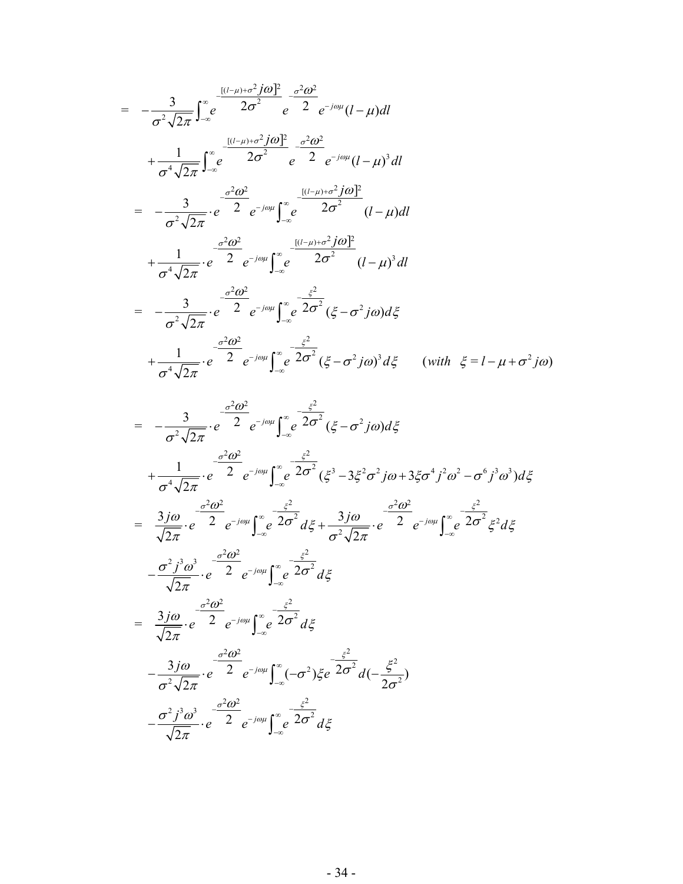$$
= -\frac{3}{\sigma^2 \sqrt{2\pi}} \int_{-\infty}^{\infty} e^{-\frac{[(l-\mu)+\sigma^2 j\omega]^2}{2\sigma^2}} e^{-\frac{\sigma^2 \omega^2}{2}} e^{-j\omega\mu} (l-\mu) dl
$$
  
+  $\frac{1}{\sigma^4 \sqrt{2\pi}} \int_{-\infty}^{\infty} e^{-\frac{[(l-\mu)+\sigma^2 j\omega]^2}{2\sigma^2}} e^{-\frac{\sigma^2 \omega^2}{2}} e^{-j\omega\mu} (l-\mu)^3 dl$   
=  $-\frac{3}{\sigma^2 \sqrt{2\pi}} \cdot e^{-\frac{\sigma^2 \omega^2}{2}} e^{-j\omega\mu} \int_{-\infty}^{\infty} e^{-\frac{[(l-\mu)+\sigma^2 j\omega]^2}{2\sigma^2}} (l-\mu) dl$   
+  $\frac{1}{\sigma^4 \sqrt{2\pi}} \cdot e^{-\frac{\sigma^2 \omega^2}{2}} e^{-j\omega\mu} \int_{-\infty}^{\infty} e^{-\frac{[(l-\mu)+\sigma^2 j\omega]^2}{2\sigma^2}} (l-\mu)^3 dl$   
=  $-\frac{3}{\sigma^2 \sqrt{2\pi}} \cdot e^{-\frac{\sigma^2 \omega^2}{2}} e^{-j\omega\mu} \int_{-\infty}^{\infty} e^{-\frac{\xi^2}{2\sigma^2}} (\xi - \sigma^2 j\omega) d\xi$   
+  $\frac{1}{\sigma^4 \sqrt{2\pi}} \cdot e^{-\frac{\sigma^2 \omega^2}{2}} e^{-j\omega\mu} \int_{-\infty}^{\infty} e^{-\frac{\xi^2}{2\sigma^2}} (\xi - \sigma^2 j\omega)^3 d\xi$  (with  $\xi = l - \mu + \sigma^2 j\omega$ )

$$
= -\frac{3}{\sigma^2 \sqrt{2\pi}} \cdot e^{-\frac{\sigma^2 \omega^2}{2}} e^{-j\omega \mu} \int_{-\infty}^{\infty} e^{-\frac{\xi^2}{2\sigma^2}} (\xi - \sigma^2 j\omega) d\xi
$$
  
\n
$$
+ \frac{1}{\sigma^4 \sqrt{2\pi}} \cdot e^{-\frac{\sigma^2 \omega^2}{2}} e^{-j\omega \mu} \int_{-\infty}^{\infty} e^{-\frac{\xi^2}{2\sigma^2}} (\xi^3 - 3\xi^2 \sigma^2 j\omega + 3\xi \sigma^4 j^2 \omega^2 - \sigma^6 j^3 \omega^3) d\xi
$$
  
\n
$$
= \frac{3 j\omega}{\sqrt{2\pi}} \cdot e^{-\frac{\sigma^2 \omega^2}{2}} e^{-j\omega \mu} \int_{-\infty}^{\infty} e^{-\frac{\xi^2}{2\sigma^2}} d\xi + \frac{3 j\omega}{\sigma^2 \sqrt{2\pi}} \cdot e^{-\frac{\sigma^2 \omega^2}{2}} e^{-j\omega \mu} \int_{-\infty}^{\infty} e^{-\frac{\xi^2}{2\sigma^2}} \xi^2 d\xi
$$
  
\n
$$
- \frac{\sigma^2 j^3 \omega^3}{\sqrt{2\pi}} \cdot e^{-\frac{\sigma^2 \omega^2}{2}} e^{-j\omega \mu} \int_{-\infty}^{\infty} e^{-\frac{\xi^2}{2\sigma^2}} d\xi
$$
  
\n
$$
= \frac{3 j\omega}{\sqrt{2\pi}} \cdot e^{-\frac{\sigma^2 \omega^2}{2}} e^{-j\omega \mu} \int_{-\infty}^{\infty} e^{-\frac{\xi^2}{2\sigma^2}} d\xi
$$
  
\n
$$
- \frac{3 j\omega}{\sigma^2 \sqrt{2\pi}} \cdot e^{-\frac{\sigma^2 \omega^2}{2}} e^{-j\omega \mu} \int_{-\infty}^{\infty} (-\sigma^2) \xi e^{-\frac{\xi^2}{2\sigma^2}} d(-\frac{\xi^2}{2\sigma^2})
$$
  
\n
$$
- \frac{\sigma^2 j^3 \omega^3}{\sqrt{2\pi}} \cdot e^{-\frac{\sigma^2 \omega^2}{2}} e^{-j\omega \mu} \int_{-\infty}^{\infty} e^{-\frac{\xi^2}{2\sigma^2}} d\xi
$$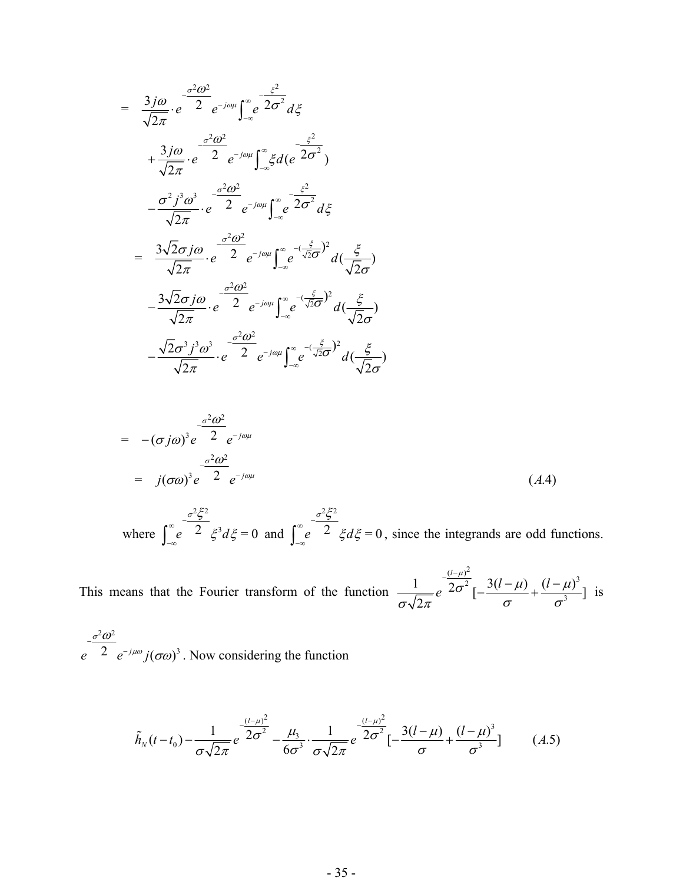$$
= \frac{3j\omega}{\sqrt{2\pi}} \cdot e^{-\frac{\sigma^2 \omega^2}{2}} e^{-j\omega\mu} \int_{-\infty}^{\infty} e^{-\frac{\xi^2}{2\sigma^2}} d\xi
$$
  
\n
$$
+ \frac{3j\omega}{\sqrt{2\pi}} \cdot e^{-\frac{\sigma^2 \omega^2}{2}} e^{-j\omega\mu} \int_{-\infty}^{\infty} \xi d(e^{-\frac{\xi^2}{2\sigma^2}})
$$
  
\n
$$
- \frac{\sigma^2 j^3 \omega^3}{\sqrt{2\pi}} \cdot e^{-\frac{\sigma^2 \omega^2}{2}} e^{-j\omega\mu} \int_{-\infty}^{\infty} e^{-\frac{\xi^2}{2\sigma^2}} d\xi
$$
  
\n
$$
= \frac{3\sqrt{2\sigma j\omega}}{\sqrt{2\pi}} \cdot e^{-\frac{\sigma^2 \omega^2}{2}} e^{-j\omega\mu} \int_{-\infty}^{\infty} e^{-\frac{(\frac{\xi}{\sqrt{2\sigma}})^2}{\sqrt{2\sigma}}} d(\frac{\xi}{\sqrt{2\sigma}})
$$
  
\n
$$
- \frac{3\sqrt{2\sigma j\omega}}{\sqrt{2\pi}} \cdot e^{-\frac{\sigma^2 \omega^2}{2}} e^{-j\omega\mu} \int_{-\infty}^{\infty} e^{-\frac{(\frac{\xi}{\sqrt{2\sigma}})^2}{\sqrt{2\sigma}}} d(\frac{\xi}{\sqrt{2\sigma}})
$$
  
\n
$$
- \frac{\sqrt{2\sigma^3} j^3 \omega^3}{\sqrt{2\pi}} \cdot e^{-\frac{\sigma^2 \omega^2}{2}} e^{-j\omega\mu} \int_{-\infty}^{\infty} e^{-\frac{(\frac{\xi}{\sqrt{2\sigma}})^2}{\sqrt{2\sigma}}} d(\frac{\xi}{\sqrt{2\sigma}})
$$

$$
= -(\sigma j \omega)^{3} e^{-\frac{\sigma^{2} \omega^{2}}{2}} e^{-j \omega \mu}
$$
  

$$
= j(\sigma \omega)^{3} e^{-\frac{\sigma^{2} \omega^{2}}{2}} e^{-j \omega \mu}
$$
 (A.4)

 where  $2\succcurlyeq$  $e^{2} \xi^{3} d\xi = 0$  $\sigma^2 \xi^2$  $ξ$ <sup>3</sup> $dξ$ <sup>−</sup> <sup>∞</sup>  $\int_{-\infty}^{\infty} e^{-2} \xi^3 d\xi = 0$  and 2 2  $e^{2} \xi d\xi = 0$  $\sigma^2 \tilde{\xi}^2$  $\xi d\xi$ <sup>−</sup> <sup>∞</sup>  $\int_{-\infty}^{\infty} e^{-2} \xi d\xi = 0$ , since the integrands are odd functions.

This means that the Fourier transform of the function  $\frac{(l-\mu)^2}{2\sigma^2}$  3(l – u)  $(l-\mu)^3$  $\frac{1}{\sqrt{2\pi}}e^{-\frac{(l-\mu)^2}{2\sigma^2}}[-\frac{3(l-\mu)}{\sigma}+\frac{(l-\mu)^3}{\sigma^3}]$  $\frac{(\mu - \mu)^2}{\sigma^2}$  3(l- $\mu$ ) (l- $\mu$ )  $\frac{1}{\sigma\sqrt{2\pi}}e^{-\frac{(l-\mu)^2}{2\sigma^2}}[-\frac{3(l-\mu)}{\sigma}+\frac{(l-\mu)^3}{\sigma^3}]$  is

 $2\pi^2$  $e^{2} e^{-j\mu\omega} j(\sigma\omega)^3$ σ μω ω σω −  $\int_{-\infty}^{\infty} j(\sigma \omega)^3$ . Now considering the function

$$
\tilde{h}_N(t-t_0) - \frac{1}{\sigma\sqrt{2\pi}}e^{-\frac{(l-\mu)^2}{2\sigma^2}} - \frac{\mu_3}{6\sigma^3} \cdot \frac{1}{\sigma\sqrt{2\pi}}e^{-\frac{(l-\mu)^2}{2\sigma^2}}[-\frac{3(l-\mu)}{\sigma} + \frac{(l-\mu)^3}{\sigma^3}] \tag{A.5}
$$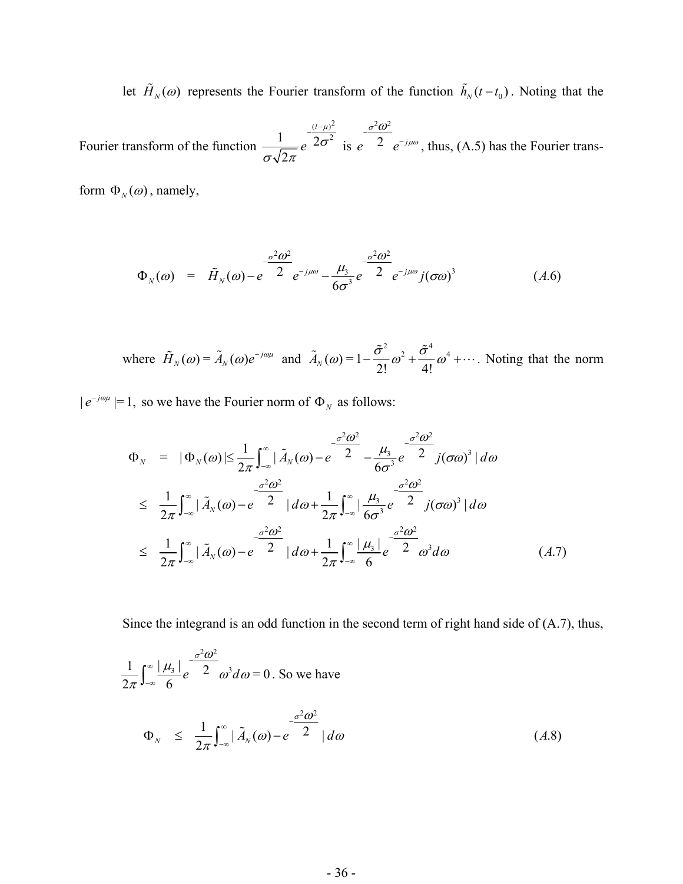let  $\tilde{H}_N(\omega)$  represents the Fourier transform of the function  $\tilde{h}_N(t-t_0)$ . Noting that the

Fourier transform of the function  $(l-\mu)^2$  $\frac{1}{\epsilon}e^{-2\sigma^2}$ 2 *l e* μ σ σν 2π  $(l$  is  $2\omega^2$  $e^{\frac{2}{c}}e^{-j}$ σ μω  $-\frac{\sigma^2\omega}{\sigma^2}$  $\neg^{j\mu\omega}$ , thus, (A.5) has the Fourier trans-

form  $\Phi_N(\omega)$ , namely,

$$
\Phi_N(\omega) = \tilde{H}_N(\omega) - e^{-\frac{\sigma^2 \omega^2}{2}} e^{-j\mu\omega} - \frac{\mu_3}{6\sigma^3} e^{-\frac{\sigma^2 \omega^2}{2}} e^{-j\mu\omega} j(\sigma\omega)^3 \tag{A.6}
$$

where 
$$
\tilde{H}_N(\omega) = \tilde{A}_N(\omega)e^{-j\omega\mu}
$$
 and  $\tilde{A}_N(\omega) = 1 - \frac{\tilde{\sigma}^2}{2!}\omega^2 + \frac{\tilde{\sigma}^4}{4!}\omega^4 + \cdots$ . Noting that the norm

 $|e^{-j\omega\mu}|=1$ , so we have the Fourier norm of  $\Phi_N$  as follows:

$$
\Phi_{N} = |\Phi_{N}(\omega)| \leq \frac{1}{2\pi} \int_{-\infty}^{\infty} |\tilde{A}_{N}(\omega) - e^{-\frac{\sigma^{2} \omega^{2}}{2}} - \frac{\mu_{3}}{6\sigma^{3}} e^{-\frac{\sigma^{2} \omega^{2}}{2}} j(\sigma \omega)^{3} | d\omega
$$
  
\n
$$
\leq \frac{1}{2\pi} \int_{-\infty}^{\infty} |\tilde{A}_{N}(\omega) - e^{-\frac{\sigma^{2} \omega^{2}}{2}} | d\omega + \frac{1}{2\pi} \int_{-\infty}^{\infty} |\frac{\mu_{3}}{6\sigma^{3}} e^{-\frac{\sigma^{2} \omega^{2}}{2}} j(\sigma \omega)^{3} | d\omega
$$
  
\n
$$
\leq \frac{1}{2\pi} \int_{-\infty}^{\infty} |\tilde{A}_{N}(\omega) - e^{-\frac{\sigma^{2} \omega^{2}}{2}} | d\omega + \frac{1}{2\pi} \int_{-\infty}^{\infty} \frac{|\mu_{3}|}{6} e^{-\frac{\sigma^{2} \omega^{2}}{2}} \omega^{3} d\omega \qquad (A.7)
$$

Since the integrand is an odd function in the second term of right hand side of (A.7), thus,

$$
\frac{1}{2\pi} \int_{-\infty}^{\infty} \frac{|\mu_3|}{6} e^{-\frac{\sigma^2 \omega^2}{2}} \omega^3 d\omega = 0.
$$
 So we have
$$
\Phi_N \leq \frac{1}{2\pi} \int_{-\infty}^{\infty} |\tilde{A}_N(\omega) - e^{-\frac{\sigma^2 \omega^2}{2}}| d\omega \qquad (A.8)
$$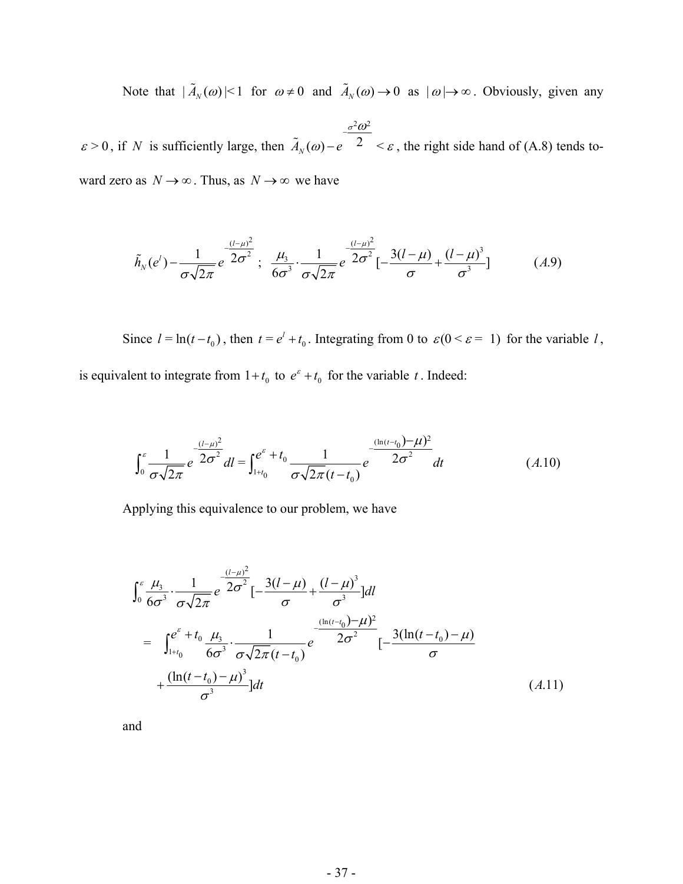Note that  $|\tilde{A}_N(\omega)| \le 1$  for  $\omega \ne 0$  and  $\tilde{A}_N(\omega) \to 0$  as  $|\omega| \to \infty$ . Obviously, given any

 $\varepsilon > 0$ , if *N* is sufficiently large, then  $2\pi^2$  $\tilde{A}_N(\omega) - e^{-\gamma/2} <$ σ *N* ω  $\omega$  e  $\epsilon$   $\leq$   $\varepsilon$ −  $\widetilde{A}_{N}(\omega) - e^{-\omega/2} \leq \varepsilon$ , the right side hand of (A.8) tends toward zero as  $N \to \infty$ . Thus, as  $N \to \infty$  we have

$$
\tilde{h}_N(e^l) - \frac{1}{\sigma\sqrt{2\pi}}e^{-\frac{(l-\mu)^2}{2\sigma^2}}; \quad \frac{\mu_3}{6\sigma^3} \cdot \frac{1}{\sigma\sqrt{2\pi}}e^{-\frac{(l-\mu)^2}{2\sigma^2}}[-\frac{3(l-\mu)}{\sigma} + \frac{(l-\mu)^3}{\sigma^3}] \tag{A.9}
$$

Since  $l = \ln(t - t_0)$ , then  $t = e^l + t_0$ . Integrating from 0 to  $\varepsilon (0 \le \varepsilon = 1)$  for the variable *l*,

is equivalent to integrate from  $1 + t_0$  to  $e^{\epsilon} + t_0$  for the variable *t*. Indeed:

$$
\int_0^{\varepsilon} \frac{1}{\sigma \sqrt{2\pi}} e^{-\frac{(l-\mu)^2}{2\sigma^2}} dl = \int_{1+t_0}^{e^{\varepsilon}+t_0} \frac{1}{\sigma \sqrt{2\pi} (t-t_0)} e^{-\frac{(\ln(t-t_0)-\mu)^2}{2\sigma^2}} dt
$$
\n(A.10)

Applying this equivalence to our problem, we have

$$
\int_{0}^{\varepsilon} \frac{\mu_{3}}{6\sigma^{3}} \cdot \frac{1}{\sigma\sqrt{2\pi}} e^{-\frac{(l-\mu)^{2}}{2\sigma^{2}}} [-\frac{3(l-\mu)}{\sigma} + \frac{(l-\mu)^{3}}{\sigma^{3}}] dl
$$
\n
$$
= \int_{1+t_{0}}^{e^{\varepsilon}+t_{0}} \frac{\mu_{3}}{6\sigma^{3}} \cdot \frac{1}{\sigma\sqrt{2\pi}(t-t_{0})} e^{-\frac{(\ln(t-t_{0})-\mu)^{2}}{2\sigma^{2}}} [-\frac{3(\ln(t-t_{0})-\mu)}{\sigma} + \frac{(\ln(t-t_{0})-\mu)^{3}}{\sigma^{3}}] dt
$$
\n(A.11)

and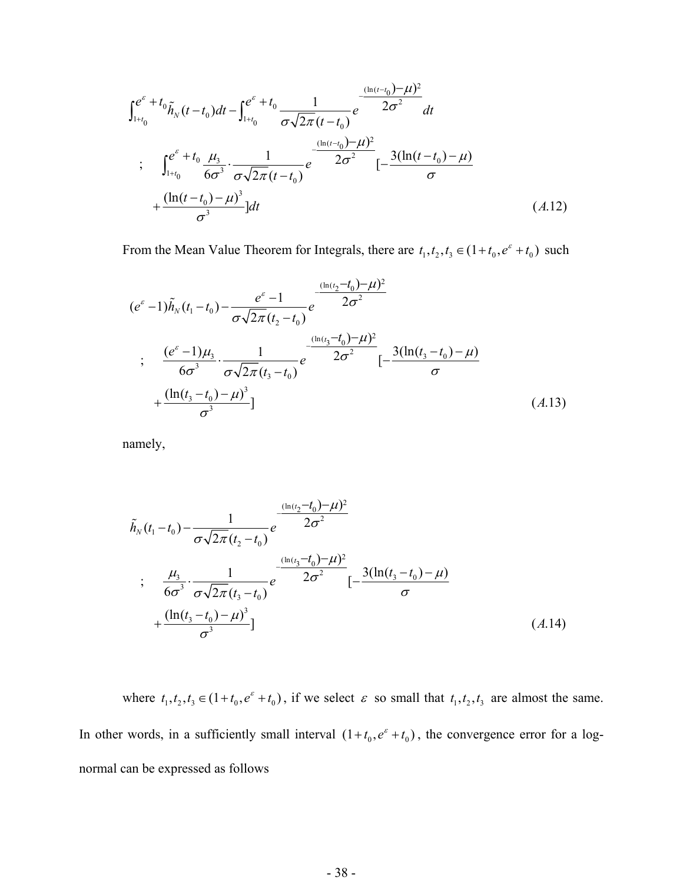$$
\int_{1+t_0}^{e^{\epsilon}+t_0} \tilde{h}_N(t-t_0)dt - \int_{1+t_0}^{e^{\epsilon}+t_0} \frac{1}{\sigma\sqrt{2\pi}(t-t_0)} e^{-\frac{(\ln(t-t_0)-\mu)^2}{2\sigma^2}} dt
$$
\n
$$
\int_{1+t_0}^{e^{\epsilon}+t_0} \frac{\mu_3}{6\sigma^3} \cdot \frac{1}{\sigma\sqrt{2\pi}(t-t_0)} e^{-\frac{(\ln(t-t_0)-\mu)^2}{2\sigma^2}} [-\frac{3(\ln(t-t_0)-\mu)}{\sigma}] dt
$$
\n
$$
+\frac{(\ln(t-t_0)-\mu)^3}{\sigma^3}] dt
$$
\n(A.12)

From the Mean Value Theorem for Integrals, there are  $t_1, t_2, t_3 \in (1 + t_0, e^{\varepsilon} + t_0)$  such

$$
(e^{\varepsilon} - 1)\tilde{h}_N(t_1 - t_0) - \frac{e^{\varepsilon} - 1}{\sigma\sqrt{2\pi}(t_2 - t_0)}e^{-\frac{(\ln(t_2 - t_0) - \mu)^2}{2\sigma^2}}
$$
  
\n
$$
\frac{(e^{\varepsilon} - 1)\mu_3}{6\sigma^3} \cdot \frac{1}{\sigma\sqrt{2\pi}(t_3 - t_0)}e^{-\frac{(\ln(t_3 - t_0) - \mu)^2}{2\sigma^2}}[-\frac{3(\ln(t_3 - t_0) - \mu)}{\sigma} + \frac{(\ln(t_3 - t_0) - \mu)^3}{\sigma^3}] \tag{A.13}
$$

namely,

$$
\tilde{h}_{N}(t_{1}-t_{0}) - \frac{1}{\sigma\sqrt{2\pi}(t_{2}-t_{0})}e^{-\frac{(\ln(t_{2}-t_{0})-\mu)^{2}}{2\sigma^{2}}}
$$
\n
$$
\vdots \quad \frac{\mu_{3}}{6\sigma^{3}} \cdot \frac{1}{\sigma\sqrt{2\pi}(t_{3}-t_{0})}e^{-\frac{(\ln(t_{3}-t_{0})-\mu)^{2}}{2\sigma^{2}}}\left[-\frac{3(\ln(t_{3}-t_{0})-\mu)}{\sigma}\right]
$$
\n
$$
+\frac{(\ln(t_{3}-t_{0})-\mu)^{3}}{\sigma^{3}}]
$$
\n
$$
(A.14)
$$

where  $t_1, t_2, t_3 \in (1 + t_0, e^{\epsilon} + t_0)$ , if we select  $\epsilon$  so small that  $t_1, t_2, t_3$  are almost the same. In other words, in a sufficiently small interval  $(1+t_0, e^{\epsilon} + t_0)$ , the convergence error for a lognormal can be expressed as follows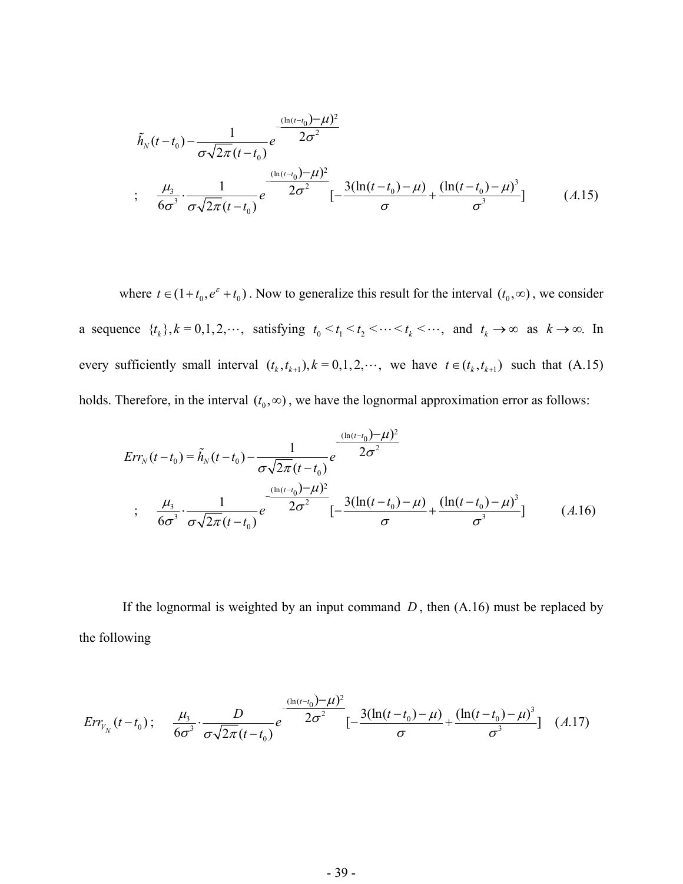$$
\tilde{h}_{N}(t-t_{0}) - \frac{1}{\sigma\sqrt{2\pi}(t-t_{0})}e^{-\frac{(\ln(t-t_{0})-\mu)^{2}}{2\sigma^{2}}}
$$
\n
$$
\vdots \quad \frac{\mu_{3}}{6\sigma^{3}} \cdot \frac{1}{\sigma\sqrt{2\pi}(t-t_{0})}e^{-\frac{(\ln(t-t_{0})-\mu)^{2}}{2\sigma^{2}}}\left[-\frac{3(\ln(t-t_{0})-\mu)}{\sigma}+\frac{(\ln(t-t_{0})-\mu)^{3}}{\sigma^{3}}\right] \tag{A.15}
$$

where  $t \in (1+t_0, e^{\epsilon} + t_0)$ . Now to generalize this result for the interval  $(t_0, \infty)$ , we consider a sequence  $\{t_k\}, k = 0, 1, 2, \dots$ , satisfying  $t_0 < t_1 < t_2 < \dots < t_k < \dots$ , and  $t_k \to \infty$  as  $k \to \infty$ . In every sufficiently small interval  $(t_k, t_{k+1}), k = 0, 1, 2, \cdots$ , we have  $t \in (t_k, t_{k+1})$  such that  $(A.15)$ holds. Therefore, in the interval  $(t_0, \infty)$ , we have the lognormal approximation error as follows:

$$
Err_N(t - t_0) = \tilde{h}_N(t - t_0) - \frac{1}{\sigma\sqrt{2\pi}(t - t_0)}e^{-\frac{(\ln(t - t_0)) - \mu)^2}{2\sigma^2}}
$$
  
\n
$$
\frac{\mu_3}{6\sigma^3} \cdot \frac{1}{\sigma\sqrt{2\pi}(t - t_0)}e^{-\frac{(\ln(t - t_0)) - \mu)^2}{2\sigma^2}}[-\frac{3(\ln(t - t_0) - \mu)}{\sigma} + \frac{(\ln(t - t_0) - \mu)^3}{\sigma^3}] \tag{A.16}
$$

If the lognormal is weighted by an input command  $D$ , then  $(A.16)$  must be replaced by the following

$$
Err_{V_N}(t-t_0); \quad \frac{\mu_3}{6\sigma^3} \cdot \frac{D}{\sigma\sqrt{2\pi}(t-t_0)} e^{-\frac{(\ln(t-t_0)-\mu)^2}{2\sigma^2}} \left[-\frac{3(\ln(t-t_0)-\mu)}{\sigma} + \frac{(\ln(t-t_0)-\mu)^3}{\sigma^3}\right] \quad (A.17)
$$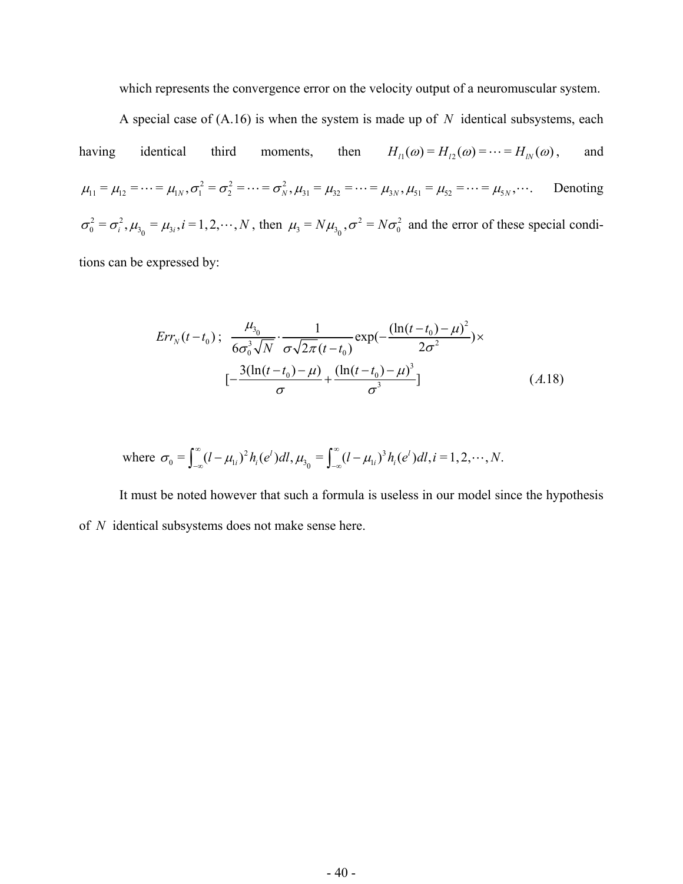which represents the convergence error on the velocity output of a neuromuscular system.

A special case of  $(A.16)$  is when the system is made up of N identical subsystems, each having identical third moments, then  $H_{l_1}(\omega) = H_{l_2}(\omega) = \cdots = H_{l_N}(\omega)$  $\mu_{11} = \mu_{12} = \cdots = \mu_{1N}, \sigma_1^2 = \sigma_2^2 = \cdots = \sigma_N^2, \mu_{31} = \mu_{32} = \cdots = \mu_{3N}, \mu_{51} = \mu_{52} = \cdots = \mu_{5N}, \cdots$  $\sigma_0^2 = \sigma_i^2$ ,  $\mu_{3_0} = \mu_{3_i}$ ,  $i = 1, 2, \dots, N$ , then  $\mu_3 = N\mu_{3_0}$ ,  $\sigma^2 = N\sigma_0^2$  and the error of these special condi-, and Denoting tions can be expressed by:

> $\int_{30}^{3}$  1  $\exp(-(\ln(t-t_0)-\mu)^2)$  $^{0/3}$  6 $\sigma^3$   $\sqrt{N}$   $\sigma \sqrt{2\pi}(t + 1)$   $^{\text{exp}(t)}$   $2\sigma^2$  $(t-t_0); \frac{\mu_{3_0}}{6\sigma_0^3\sqrt{N}} \cdot \frac{1}{\sigma\sqrt{2\pi}(t-t_0)} \exp(-\frac{(\ln(t-t_0)-\mu)^2}{2\sigma^2})$ 3  $^{0}$ ,  $\mu$ ,  $^{1}$   $^{1}$ ,  $^{0}$  $\left[-\frac{3(\ln(t-t_0)-\mu)}{\sigma}+\frac{(\ln(t-t_0)-\mu)^3}{\sigma^3}\right]$  (*A.*18)  $Err_{N}(t-t_0); \frac{\mu_{30}}{t_0} \cdot \frac{1}{\sqrt{2\pi}} \cdot \frac{1}{\sqrt{2\pi}} \exp(-\frac{(\ln(t-t_0))}{2\sqrt{2\pi}})$  $N \quad \sigma\sqrt{2\pi (t-t)}$  $\mu_{3}$  1  $\ln(t-t_0) - \mu$  $(-t_0)$ ;  $\frac{\mu_{3_0}}{6\sigma_0^3 \sqrt{N}} \cdot \frac{1}{\sigma \sqrt{2\pi (t-t_0)}} \exp(-\frac{(\ln(t-t_0)-\mu)^2}{2\sigma^2}) \times$  $-\frac{3(\ln(t-t_0)-\mu)}{\sigma}+\frac{(\ln(t-t_0)-\sigma^3)}{\sigma^3}$ ;

where 
$$
\sigma_0 = \int_{-\infty}^{\infty} (l - \mu_{1i})^2 h_i(e^t) dl
$$
,  $\mu_{30} = \int_{-\infty}^{\infty} (l - \mu_{1i})^3 h_i(e^t) dl$ ,  $i = 1, 2, \dots, N$ .

It must be noted however that such a formula is useless in our model since the hypothesis of *N* identical subsystems does not make sense here.